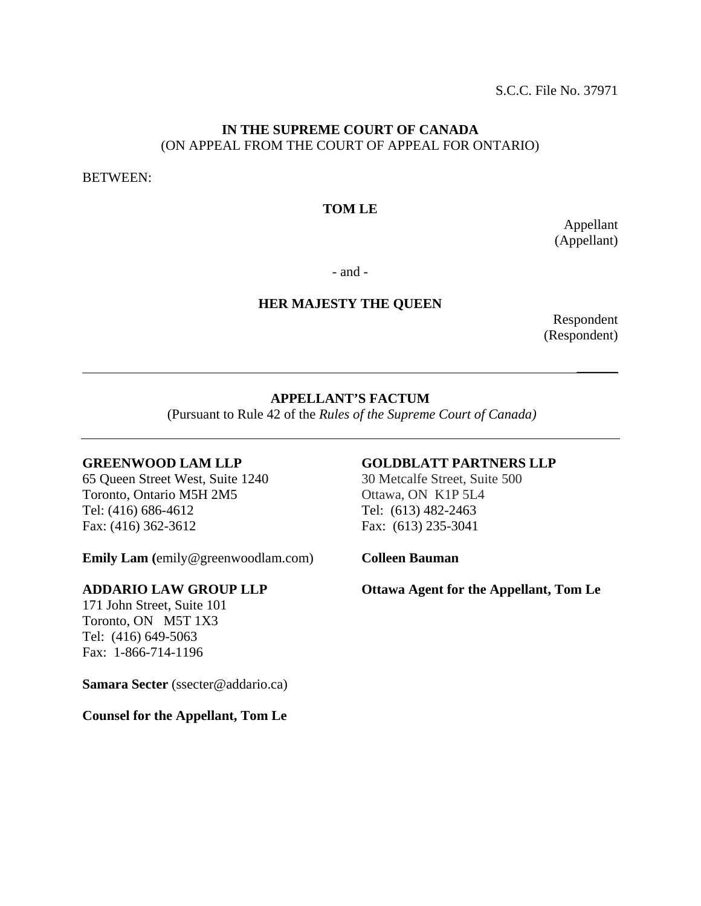S.C.C. File No. 37971

## **IN THE SUPREME COURT OF CANADA**  (ON APPEAL FROM THE COURT OF APPEAL FOR ONTARIO)

BETWEEN:

## **TOM LE**

Appellant (Appellant)

- and -

## **HER MAJESTY THE QUEEN**

Respondent (Respondent)

## **APPELLANT'S FACTUM**

 $\mathcal{L}_\mathcal{L}$  , we can consider the contract of the contract of the contract of the contract of the contract of the contract of the contract of the contract of the contract of the contract of the contract of the contract

(Pursuant to Rule 42 of the *Rules of the Supreme Court of Canada)* 

#### **GREENWOOD LAM LLP**

65 Queen Street West, Suite 1240 Toronto, Ontario M5H 2M5 Tel: (416) 686-4612 Fax: (416) 362-3612

**Emily Lam (**emily@greenwoodlam.com)

#### **ADDARIO LAW GROUP LLP**

171 John Street, Suite 101 Toronto, ON M5T 1X3 Tel: (416) 649-5063 Fax: 1-866-714-1196

Samara Secter (ssecter@addario.ca)

## **Counsel for the Appellant, Tom Le**

## **GOLDBLATT PARTNERS LLP**

30 Metcalfe Street, Suite 500 Ottawa, ON K1P 5L4 Tel: (613) 482-2463 Fax: (613) 235-3041

**Colleen Bauman** 

**Ottawa Agent for the Appellant, Tom Le**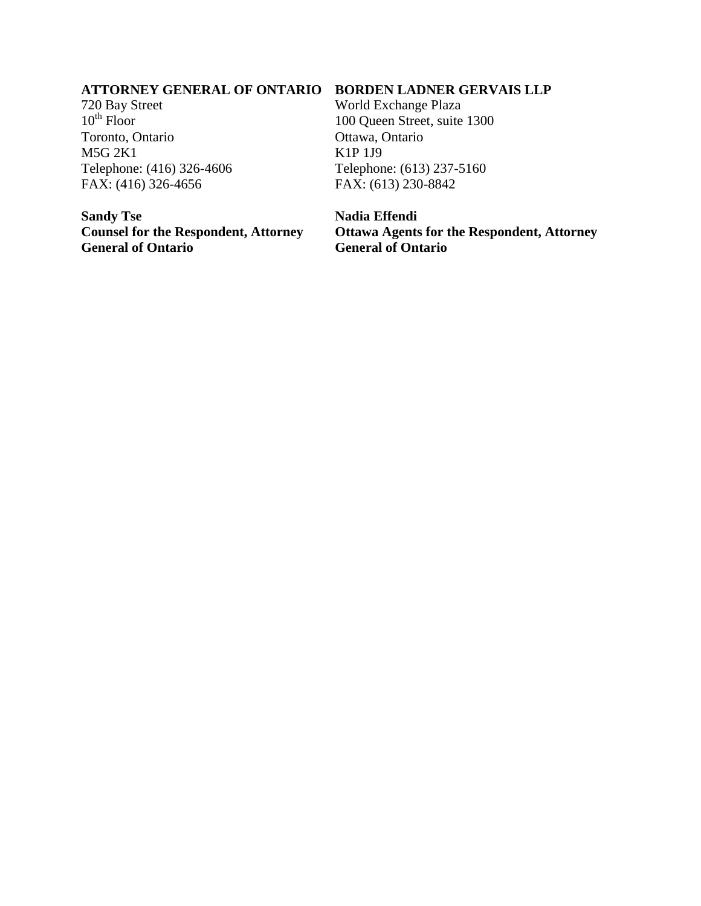#### **ATTORNEY GENERAL OF ONTARIO BORDEN LADNER GERVAIS LLP**

720 Bay Street  $10^{th}$  Floor Toronto, Ontario M5G 2K1 Telephone: (416) 326-4606 FAX: (416) 326-4656

**Sandy Tse Counsel for the Respondent, Attorney General of Ontario**

World Exchange Plaza 100 Queen Street, suite 1300 Ottawa, Ontario K1P 1J9 Telephone: (613) 237-5160 FAX: (613) 230-8842

**Nadia Effendi**

**Ottawa Agents for the Respondent, Attorney General of Ontario**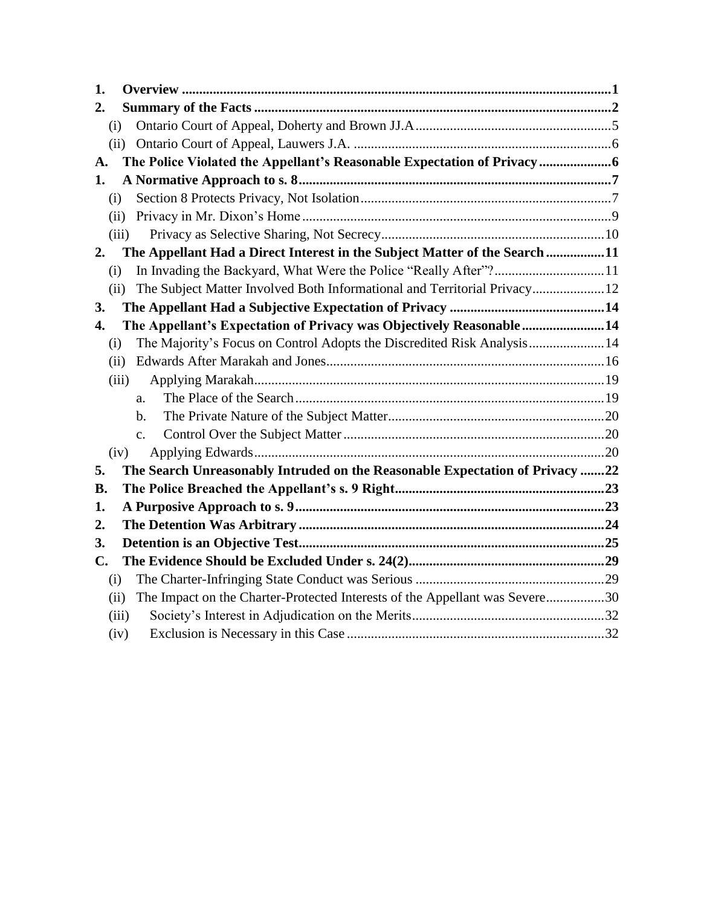| 1.                                                                                  |  |
|-------------------------------------------------------------------------------------|--|
| 2.                                                                                  |  |
| (i)                                                                                 |  |
| (ii)                                                                                |  |
| The Police Violated the Appellant's Reasonable Expectation of Privacy<br>A.         |  |
| 1.                                                                                  |  |
| (i)                                                                                 |  |
| (ii)                                                                                |  |
| (iii)                                                                               |  |
| The Appellant Had a Direct Interest in the Subject Matter of the Search 11<br>2.    |  |
| In Invading the Backyard, What Were the Police "Really After"? 11<br>(i)            |  |
| The Subject Matter Involved Both Informational and Territorial Privacy 12<br>(ii)   |  |
| 3.                                                                                  |  |
| The Appellant's Expectation of Privacy was Objectively Reasonable 14<br>4.          |  |
| The Majority's Focus on Control Adopts the Discredited Risk Analysis14<br>(i)       |  |
| (ii)                                                                                |  |
| (iii)                                                                               |  |
| a.                                                                                  |  |
| b.                                                                                  |  |
| $\mathbf{c}$ .                                                                      |  |
| (iv)                                                                                |  |
| The Search Unreasonably Intruded on the Reasonable Expectation of Privacy 22<br>5.  |  |
| <b>B.</b>                                                                           |  |
| 1.                                                                                  |  |
| 2.                                                                                  |  |
| 3.                                                                                  |  |
| C.                                                                                  |  |
| (i)                                                                                 |  |
| The Impact on the Charter-Protected Interests of the Appellant was Severe30<br>(ii) |  |
| (iii)                                                                               |  |
| (iv)                                                                                |  |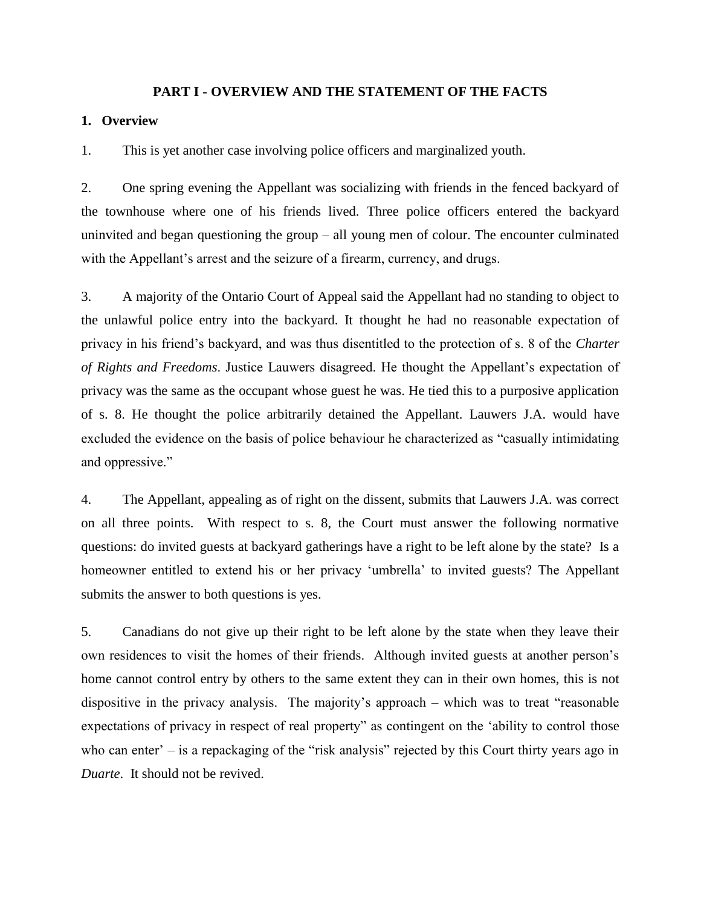#### **PART I - OVERVIEW AND THE STATEMENT OF THE FACTS**

#### **1. Overview**

1. This is yet another case involving police officers and marginalized youth.

2. One spring evening the Appellant was socializing with friends in the fenced backyard of the townhouse where one of his friends lived. Three police officers entered the backyard uninvited and began questioning the group – all young men of colour. The encounter culminated with the Appellant's arrest and the seizure of a firearm, currency, and drugs.

3. A majority of the Ontario Court of Appeal said the Appellant had no standing to object to the unlawful police entry into the backyard. It thought he had no reasonable expectation of privacy in his friend's backyard, and was thus disentitled to the protection of s. 8 of the *Charter of Rights and Freedoms*. Justice Lauwers disagreed. He thought the Appellant's expectation of privacy was the same as the occupant whose guest he was. He tied this to a purposive application of s. 8. He thought the police arbitrarily detained the Appellant. Lauwers J.A. would have excluded the evidence on the basis of police behaviour he characterized as "casually intimidating and oppressive."

4. The Appellant, appealing as of right on the dissent, submits that Lauwers J.A. was correct on all three points. With respect to s. 8, the Court must answer the following normative questions: do invited guests at backyard gatherings have a right to be left alone by the state? Is a homeowner entitled to extend his or her privacy 'umbrella' to invited guests? The Appellant submits the answer to both questions is yes.

5. Canadians do not give up their right to be left alone by the state when they leave their own residences to visit the homes of their friends. Although invited guests at another person's home cannot control entry by others to the same extent they can in their own homes, this is not dispositive in the privacy analysis. The majority's approach – which was to treat "reasonable expectations of privacy in respect of real property" as contingent on the 'ability to control those who can enter' – is a repackaging of the "risk analysis" rejected by this Court thirty years ago in *Duarte*. It should not be revived.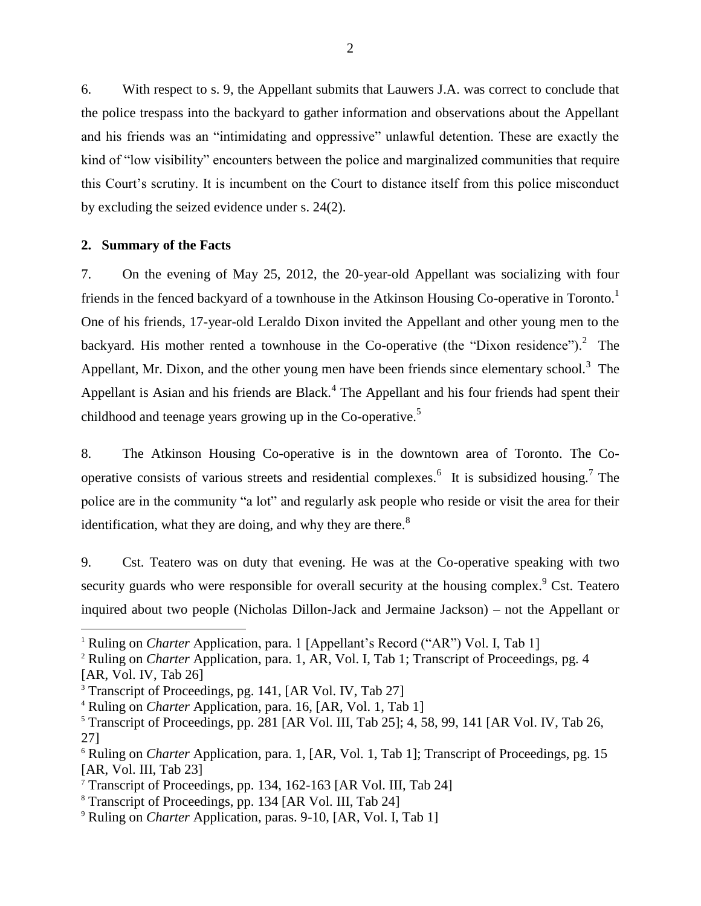6. With respect to s. 9, the Appellant submits that Lauwers J.A. was correct to conclude that the police trespass into the backyard to gather information and observations about the Appellant and his friends was an "intimidating and oppressive" unlawful detention. These are exactly the kind of "low visibility" encounters between the police and marginalized communities that require this Court's scrutiny. It is incumbent on the Court to distance itself from this police misconduct by excluding the seized evidence under s. 24(2).

## **2. Summary of the Facts**

 $\overline{a}$ 

7. On the evening of May 25, 2012, the 20-year-old Appellant was socializing with four friends in the fenced backyard of a townhouse in the Atkinson Housing Co-operative in Toronto.<sup>1</sup> One of his friends, 17-year-old Leraldo Dixon invited the Appellant and other young men to the backyard. His mother rented a townhouse in the Co-operative (the "Dixon residence"). $^2$  The Appellant, Mr. Dixon, and the other young men have been friends since elementary school.<sup>3</sup> The Appellant is Asian and his friends are Black.<sup>4</sup> The Appellant and his four friends had spent their childhood and teenage years growing up in the Co-operative.<sup>5</sup>

8. The Atkinson Housing Co-operative is in the downtown area of Toronto. The Cooperative consists of various streets and residential complexes.  $6\text{ }$  It is subsidized housing.<sup>7</sup> The police are in the community "a lot" and regularly ask people who reside or visit the area for their identification, what they are doing, and why they are there. $8<sup>8</sup>$ 

9. Cst. Teatero was on duty that evening. He was at the Co-operative speaking with two security guards who were responsible for overall security at the housing complex.<sup>9</sup> Cst. Teatero inquired about two people (Nicholas Dillon-Jack and Jermaine Jackson) – not the Appellant or

<sup>&</sup>lt;sup>1</sup> Ruling on *Charter* Application, para. 1 [Appellant's Record ("AR") Vol. I, Tab 1]

<sup>&</sup>lt;sup>2</sup> Ruling on *Charter* Application, para. 1, AR, Vol. I, Tab 1; Transcript of Proceedings, pg. 4 [AR, Vol. IV, Tab 26]

<sup>&</sup>lt;sup>3</sup> Transcript of Proceedings, pg. 141, [AR Vol. IV, Tab 27]

<sup>4</sup> Ruling on *Charter* Application, para. 16, [AR, Vol. 1, Tab 1]

<sup>&</sup>lt;sup>5</sup> Transcript of Proceedings, pp. 281 [AR Vol. III, Tab 25]; 4, 58, 99, 141 [AR Vol. IV, Tab 26, 27]

<sup>6</sup> Ruling on *Charter* Application, para. 1, [AR, Vol. 1, Tab 1]; Transcript of Proceedings, pg. 15 [AR, Vol. III, Tab 23]

<sup>7</sup> Transcript of Proceedings, pp. 134, 162-163 [AR Vol. III, Tab 24]

<sup>8</sup> Transcript of Proceedings, pp. 134 [AR Vol. III, Tab 24]

<sup>9</sup> Ruling on *Charter* Application, paras. 9-10, [AR, Vol. I, Tab 1]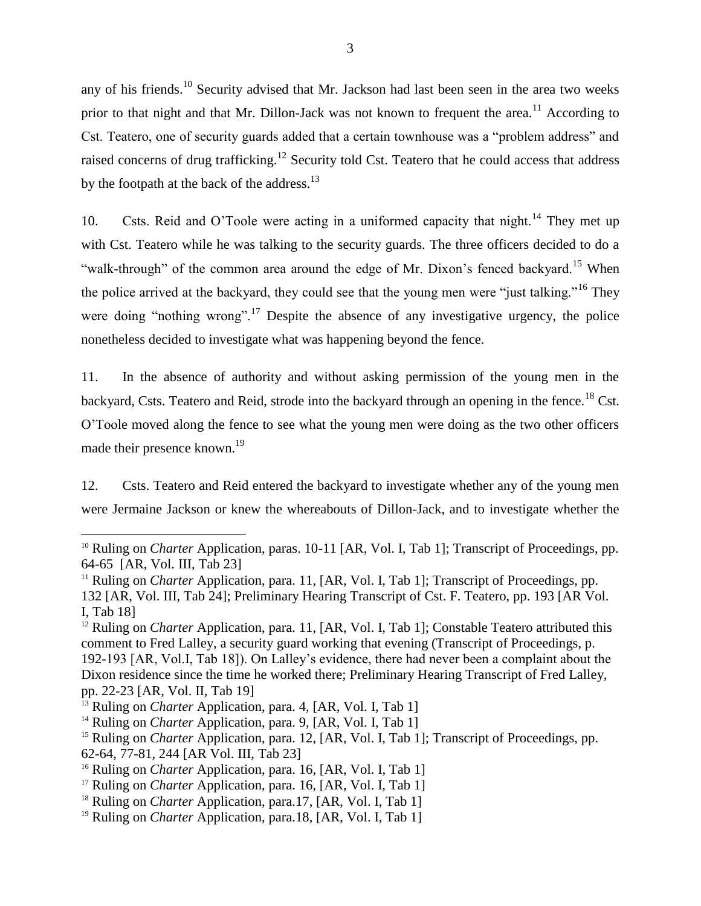any of his friends.<sup>10</sup> Security advised that Mr. Jackson had last been seen in the area two weeks prior to that night and that Mr. Dillon-Jack was not known to frequent the area.<sup>11</sup> According to Cst. Teatero, one of security guards added that a certain townhouse was a "problem address" and raised concerns of drug trafficking.<sup>12</sup> Security told Cst. Teatero that he could access that address by the footpath at the back of the address.<sup>13</sup>

10. Csts. Reid and O'Toole were acting in a uniformed capacity that night.<sup>14</sup> They met up with Cst. Teatero while he was talking to the security guards. The three officers decided to do a "walk-through" of the common area around the edge of Mr. Dixon's fenced backyard.<sup>15</sup> When the police arrived at the backyard, they could see that the young men were "just talking."<sup>16</sup> They were doing "nothing wrong".<sup>17</sup> Despite the absence of any investigative urgency, the police nonetheless decided to investigate what was happening beyond the fence.

11. In the absence of authority and without asking permission of the young men in the backyard, Csts. Teatero and Reid, strode into the backyard through an opening in the fence.<sup>18</sup> Cst. O'Toole moved along the fence to see what the young men were doing as the two other officers made their presence known.<sup>19</sup>

12. Csts. Teatero and Reid entered the backyard to investigate whether any of the young men were Jermaine Jackson or knew the whereabouts of Dillon-Jack, and to investigate whether the

<sup>&</sup>lt;sup>10</sup> Ruling on *Charter* Application, paras. 10-11 [AR, Vol. I, Tab 1]; Transcript of Proceedings, pp. 64-65 [AR, Vol. III, Tab 23]

<sup>&</sup>lt;sup>11</sup> Ruling on *Charter* Application, para. 11, [AR, Vol. I, Tab 1]; Transcript of Proceedings, pp. 132 [AR, Vol. III, Tab 24]; Preliminary Hearing Transcript of Cst. F. Teatero, pp. 193 [AR Vol. I, Tab 18]

<sup>&</sup>lt;sup>12</sup> Ruling on *Charter* Application, para. 11, [AR, Vol. I, Tab 1]; Constable Teatero attributed this comment to Fred Lalley, a security guard working that evening (Transcript of Proceedings, p. 192-193 [AR, Vol.I, Tab 18]). On Lalley's evidence, there had never been a complaint about the Dixon residence since the time he worked there; Preliminary Hearing Transcript of Fred Lalley, pp. 22-23 [AR, Vol. II, Tab 19]

<sup>&</sup>lt;sup>13</sup> Ruling on *Charter* Application, para. 4, [AR, Vol. I, Tab 1]

<sup>&</sup>lt;sup>14</sup> Ruling on *Charter* Application, para. 9, [AR, Vol. I, Tab 1]

<sup>&</sup>lt;sup>15</sup> Ruling on *Charter* Application, para. 12, [AR, Vol. I, Tab 1]; Transcript of Proceedings, pp. 62-64, 77-81, 244 [AR Vol. III, Tab 23]

<sup>&</sup>lt;sup>16</sup> Ruling on *Charter* Application, para. 16, [AR, Vol. I, Tab 1]

<sup>&</sup>lt;sup>17</sup> Ruling on *Charter* Application, para. 16, [AR, Vol. I, Tab 1]

<sup>&</sup>lt;sup>18</sup> Ruling on *Charter* Application, para.17, [AR, Vol. I, Tab 1]

<sup>&</sup>lt;sup>19</sup> Ruling on *Charter* Application, para.18, [AR, Vol. I, Tab 1]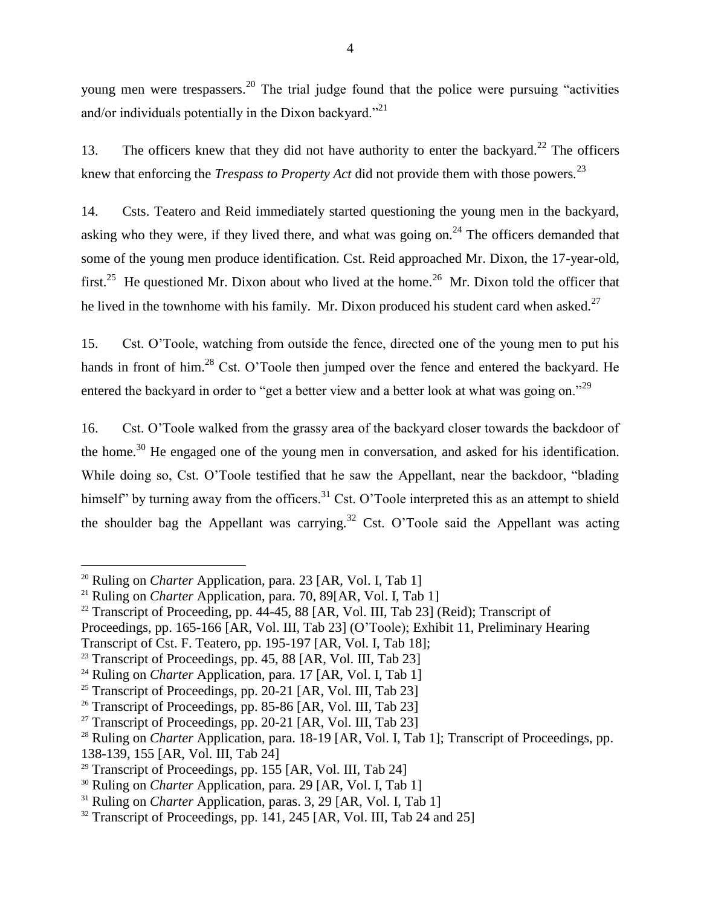young men were trespassers.<sup>20</sup> The trial judge found that the police were pursuing "activities" and/or individuals potentially in the Dixon backyard."<sup>21</sup>

13. The officers knew that they did not have authority to enter the backyard.<sup>22</sup> The officers knew that enforcing the *Trespass to Property Act* did not provide them with those powers*.* 23

14. Csts. Teatero and Reid immediately started questioning the young men in the backyard, asking who they were, if they lived there, and what was going on.<sup>24</sup> The officers demanded that some of the young men produce identification. Cst. Reid approached Mr. Dixon, the 17-year-old, first.<sup>25</sup> He questioned Mr. Dixon about who lived at the home.<sup>26</sup> Mr. Dixon told the officer that he lived in the townhome with his family. Mr. Dixon produced his student card when asked.<sup>27</sup>

15. Cst. O'Toole, watching from outside the fence, directed one of the young men to put his hands in front of him.<sup>28</sup> Cst. O'Toole then jumped over the fence and entered the backyard. He entered the backyard in order to "get a better view and a better look at what was going on."<sup>29</sup>

16. Cst. O'Toole walked from the grassy area of the backyard closer towards the backdoor of the home.<sup>30</sup> He engaged one of the young men in conversation, and asked for his identification. While doing so, Cst. O'Toole testified that he saw the Appellant, near the backdoor, "blading himself" by turning away from the officers.<sup>31</sup> Cst. O'Toole interpreted this as an attempt to shield the shoulder bag the Appellant was carrying.<sup>32</sup> Cst. O'Toole said the Appellant was acting

- Proceedings, pp. 165-166 [AR, Vol. III, Tab 23] (O'Toole); Exhibit 11, Preliminary Hearing Transcript of Cst. F. Teatero, pp. 195-197 [AR, Vol. I, Tab 18];
- <sup>23</sup> Transcript of Proceedings, pp. 45, 88 [AR, Vol. III, Tab 23]

<sup>&</sup>lt;sup>20</sup> Ruling on *Charter* Application, para. 23 [AR, Vol. I, Tab 1]

<sup>&</sup>lt;sup>21</sup> Ruling on *Charter* Application, para. 70, 89[AR, Vol. I, Tab 1]

<sup>&</sup>lt;sup>22</sup> Transcript of Proceeding, pp. 44-45, 88 [AR, Vol. III, Tab 23] (Reid); Transcript of

<sup>&</sup>lt;sup>24</sup> Ruling on *Charter* Application, para. 17 [AR, Vol. I, Tab 1]

<sup>&</sup>lt;sup>25</sup> Transcript of Proceedings, pp. 20-21 [AR, Vol. III, Tab 23]

<sup>&</sup>lt;sup>26</sup> Transcript of Proceedings, pp. 85-86 [AR, Vol. III, Tab 23]

<sup>&</sup>lt;sup>27</sup> Transcript of Proceedings, pp. 20-21 [AR, Vol. III, Tab 23]

<sup>&</sup>lt;sup>28</sup> Ruling on *Charter* Application, para. 18-19 [AR, Vol. I, Tab 1]; Transcript of Proceedings, pp. 138-139, 155 [AR, Vol. III, Tab 24]

<sup>&</sup>lt;sup>29</sup> Transcript of Proceedings, pp. 155 [AR, Vol. III, Tab 24]

<sup>&</sup>lt;sup>30</sup> Ruling on *Charter* Application, para. 29 [AR, Vol. I, Tab 1]

<sup>&</sup>lt;sup>31</sup> Ruling on *Charter* Application, paras. 3, 29 [AR, Vol. I, Tab 1]

<sup>&</sup>lt;sup>32</sup> Transcript of Proceedings, pp. 141, 245 [AR, Vol. III, Tab 24 and 25]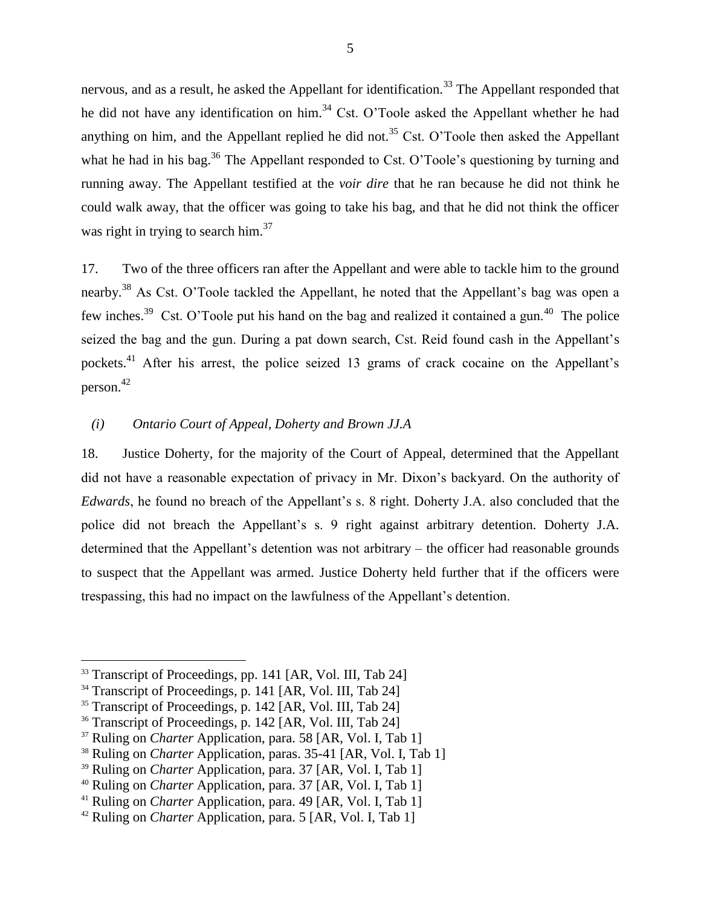nervous, and as a result, he asked the Appellant for identification.<sup>33</sup> The Appellant responded that he did not have any identification on him.<sup>34</sup> Cst. O'Toole asked the Appellant whether he had anything on him, and the Appellant replied he did not.<sup>35</sup> Cst. O'Toole then asked the Appellant what he had in his bag.<sup>36</sup> The Appellant responded to Cst. O'Toole's questioning by turning and running away. The Appellant testified at the *voir dire* that he ran because he did not think he could walk away, that the officer was going to take his bag, and that he did not think the officer was right in trying to search him.<sup>37</sup>

17. Two of the three officers ran after the Appellant and were able to tackle him to the ground nearby.<sup>38</sup> As Cst. O'Toole tackled the Appellant, he noted that the Appellant's bag was open a few inches.<sup>39</sup> Cst. O'Toole put his hand on the bag and realized it contained a gun.<sup>40</sup> The police seized the bag and the gun. During a pat down search, Cst. Reid found cash in the Appellant's pockets.<sup>41</sup> After his arrest, the police seized 13 grams of crack cocaine on the Appellant's person. 42

## *(i) Ontario Court of Appeal, Doherty and Brown JJ.A*

18. Justice Doherty, for the majority of the Court of Appeal, determined that the Appellant did not have a reasonable expectation of privacy in Mr. Dixon's backyard. On the authority of *Edwards*, he found no breach of the Appellant's s. 8 right. Doherty J.A. also concluded that the police did not breach the Appellant's s. 9 right against arbitrary detention. Doherty J.A. determined that the Appellant's detention was not arbitrary – the officer had reasonable grounds to suspect that the Appellant was armed. Justice Doherty held further that if the officers were trespassing, this had no impact on the lawfulness of the Appellant's detention.

<sup>&</sup>lt;sup>33</sup> Transcript of Proceedings, pp. 141 [AR, Vol. III, Tab 24]

<sup>&</sup>lt;sup>34</sup> Transcript of Proceedings, p. 141 [AR, Vol. III, Tab 24]

<sup>&</sup>lt;sup>35</sup> Transcript of Proceedings, p. 142 [AR, Vol. III, Tab 24]

<sup>&</sup>lt;sup>36</sup> Transcript of Proceedings, p. 142 [AR, Vol. III, Tab 24]

<sup>&</sup>lt;sup>37</sup> Ruling on *Charter* Application, para. 58 [AR, Vol. I, Tab 1]

<sup>&</sup>lt;sup>38</sup> Ruling on *Charter* Application, paras. 35-41 [AR, Vol. I, Tab 1]

<sup>&</sup>lt;sup>39</sup> Ruling on *Charter* Application, para. 37 [AR, Vol. I, Tab 1]

<sup>40</sup> Ruling on *Charter* Application, para. 37 [AR, Vol. I, Tab 1]

<sup>41</sup> Ruling on *Charter* Application, para. 49 [AR, Vol. I, Tab 1]

<sup>42</sup> Ruling on *Charter* Application, para. 5 [AR, Vol. I, Tab 1]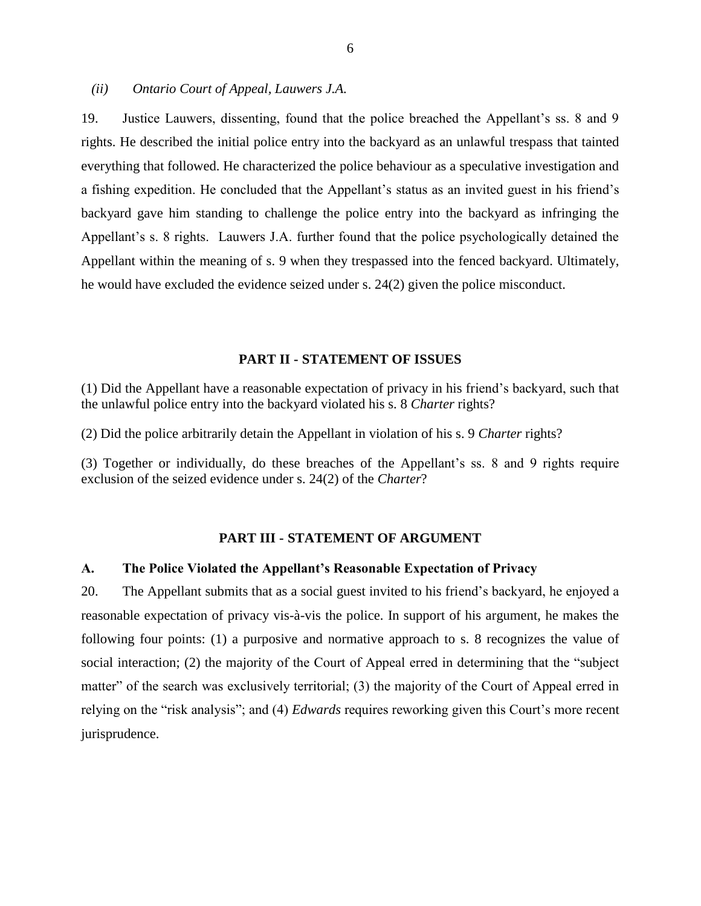*(ii) Ontario Court of Appeal, Lauwers J.A.*

19. Justice Lauwers, dissenting, found that the police breached the Appellant's ss. 8 and 9 rights. He described the initial police entry into the backyard as an unlawful trespass that tainted everything that followed. He characterized the police behaviour as a speculative investigation and a fishing expedition. He concluded that the Appellant's status as an invited guest in his friend's backyard gave him standing to challenge the police entry into the backyard as infringing the Appellant's s. 8 rights. Lauwers J.A. further found that the police psychologically detained the Appellant within the meaning of s. 9 when they trespassed into the fenced backyard. Ultimately, he would have excluded the evidence seized under s. 24(2) given the police misconduct.

#### **PART II - STATEMENT OF ISSUES**

(1) Did the Appellant have a reasonable expectation of privacy in his friend's backyard, such that the unlawful police entry into the backyard violated his s. 8 *Charter* rights?

(2) Did the police arbitrarily detain the Appellant in violation of his s. 9 *Charter* rights?

(3) Together or individually, do these breaches of the Appellant's ss. 8 and 9 rights require exclusion of the seized evidence under s. 24(2) of the *Charter*?

#### **PART III - STATEMENT OF ARGUMENT**

#### **A. The Police Violated the Appellant's Reasonable Expectation of Privacy**

20. The Appellant submits that as a social guest invited to his friend's backyard, he enjoyed a reasonable expectation of privacy vis-à-vis the police. In support of his argument, he makes the following four points: (1) a purposive and normative approach to s. 8 recognizes the value of social interaction; (2) the majority of the Court of Appeal erred in determining that the "subject matter" of the search was exclusively territorial; (3) the majority of the Court of Appeal erred in relying on the "risk analysis"; and (4) *Edwards* requires reworking given this Court's more recent jurisprudence.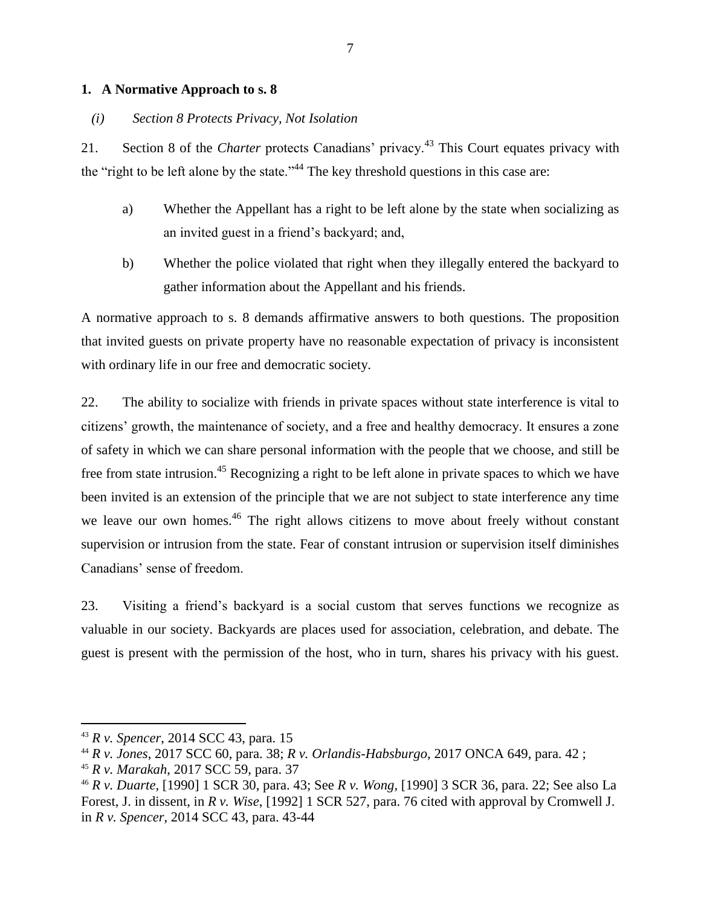## **1. A Normative Approach to s. 8**

## *(i) Section 8 Protects Privacy, Not Isolation*

21. Section 8 of the *Charter* protects Canadians' privacy.<sup>43</sup> This Court equates privacy with the "right to be left alone by the state."<sup>44</sup> The key threshold questions in this case are:

- a) Whether the Appellant has a right to be left alone by the state when socializing as an invited guest in a friend's backyard; and,
- b) Whether the police violated that right when they illegally entered the backyard to gather information about the Appellant and his friends.

A normative approach to s. 8 demands affirmative answers to both questions. The proposition that invited guests on private property have no reasonable expectation of privacy is inconsistent with ordinary life in our free and democratic society.

22. The ability to socialize with friends in private spaces without state interference is vital to citizens' growth, the maintenance of society, and a free and healthy democracy. It ensures a zone of safety in which we can share personal information with the people that we choose, and still be free from state intrusion.<sup>45</sup> Recognizing a right to be left alone in private spaces to which we have been invited is an extension of the principle that we are not subject to state interference any time we leave our own homes.<sup>46</sup> The right allows citizens to move about freely without constant supervision or intrusion from the state. Fear of constant intrusion or supervision itself diminishes Canadians' sense of freedom.

23. Visiting a friend's backyard is a social custom that serves functions we recognize as valuable in our society. Backyards are places used for association, celebration, and debate. The guest is present with the permission of the host, who in turn, shares his privacy with his guest.

<sup>43</sup> *R v. Spencer*, 2014 SCC 43, para. 15

<sup>44</sup> *R v. Jones*, 2017 SCC 60, para. 38; *R v. Orlandis-Habsburgo*, 2017 ONCA 649, para. 42 ;

<sup>45</sup> *R v. Marakah*, 2017 SCC 59, para. 37

<sup>46</sup> *R v. Duarte,* [1990] 1 SCR 30, para. 43; See *R v. Wong,* [1990] 3 SCR 36, para. 22; See also La Forest, J. in dissent, in *R v. Wise*, [1992] 1 SCR 527, para. 76 cited with approval by Cromwell J. in *R v. Spencer*, 2014 SCC 43, para. 43-44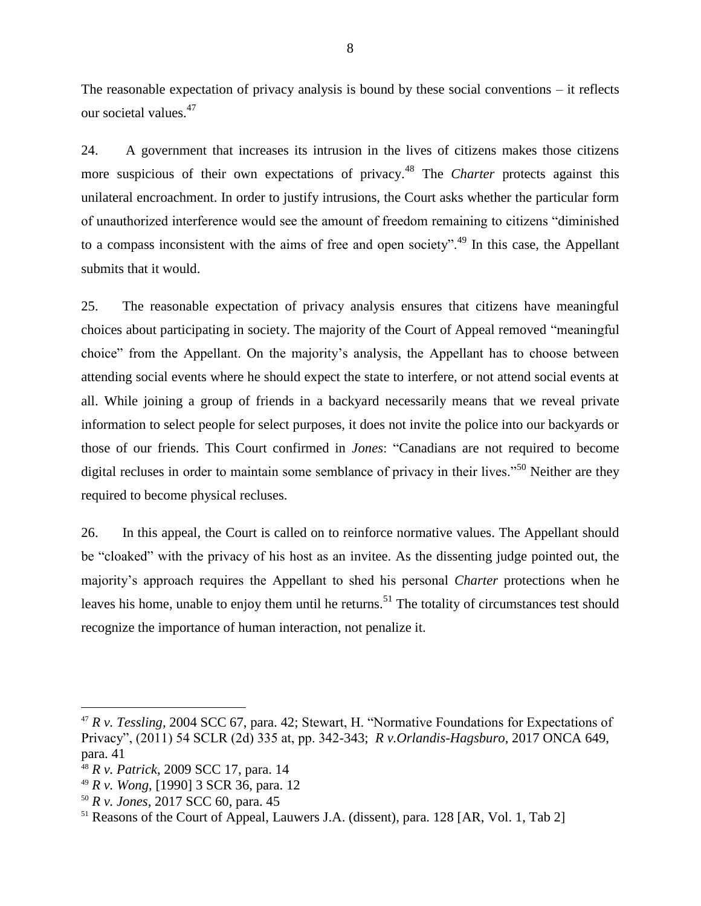The reasonable expectation of privacy analysis is bound by these social conventions – it reflects our societal values.<sup>47</sup>

24. A government that increases its intrusion in the lives of citizens makes those citizens more suspicious of their own expectations of privacy.<sup>48</sup> The *Charter* protects against this unilateral encroachment. In order to justify intrusions, the Court asks whether the particular form of unauthorized interference would see the amount of freedom remaining to citizens "diminished to a compass inconsistent with the aims of free and open society".<sup>49</sup> In this case, the Appellant submits that it would.

25. The reasonable expectation of privacy analysis ensures that citizens have meaningful choices about participating in society. The majority of the Court of Appeal removed "meaningful choice" from the Appellant. On the majority's analysis, the Appellant has to choose between attending social events where he should expect the state to interfere, or not attend social events at all. While joining a group of friends in a backyard necessarily means that we reveal private information to select people for select purposes, it does not invite the police into our backyards or those of our friends. This Court confirmed in *Jones*: "Canadians are not required to become digital recluses in order to maintain some semblance of privacy in their lives."<sup>50</sup> Neither are they required to become physical recluses.

26. In this appeal, the Court is called on to reinforce normative values. The Appellant should be "cloaked" with the privacy of his host as an invitee. As the dissenting judge pointed out, the majority's approach requires the Appellant to shed his personal *Charter* protections when he leaves his home, unable to enjoy them until he returns.<sup>51</sup> The totality of circumstances test should recognize the importance of human interaction, not penalize it.

<sup>47</sup> *R v. Tessling,* 2004 SCC 67, para. 42; Stewart, H. "Normative Foundations for Expectations of Privacy", (2011) 54 SCLR (2d) 335 at, pp. 342-343; *R v.Orlandis-Hagsburo*, 2017 ONCA 649, para. 41

<sup>48</sup> *R v. Patrick*, 2009 SCC 17, para. 14

<sup>49</sup> *R v. Wong*, [1990] 3 SCR 36, para. 12

<sup>50</sup> *R v. Jones*, 2017 SCC 60, para. 45

<sup>&</sup>lt;sup>51</sup> Reasons of the Court of Appeal, Lauwers J.A. (dissent), para. 128 [AR, Vol. 1, Tab 2]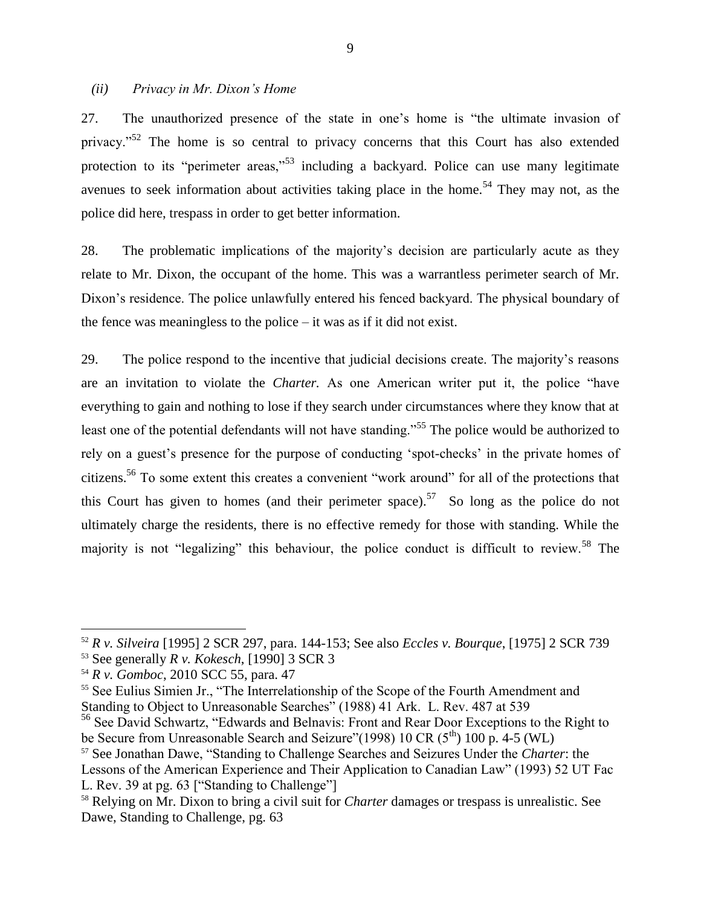#### *(ii) Privacy in Mr. Dixon's Home*

27. The unauthorized presence of the state in one's home is "the ultimate invasion of privacy."<sup>52</sup> The home is so central to privacy concerns that this Court has also extended protection to its "perimeter areas,"<sup>53</sup> including a backyard. Police can use many legitimate avenues to seek information about activities taking place in the home.<sup>54</sup> They may not, as the police did here, trespass in order to get better information.

28. The problematic implications of the majority's decision are particularly acute as they relate to Mr. Dixon, the occupant of the home. This was a warrantless perimeter search of Mr. Dixon's residence. The police unlawfully entered his fenced backyard. The physical boundary of the fence was meaningless to the police – it was as if it did not exist.

29. The police respond to the incentive that judicial decisions create. The majority's reasons are an invitation to violate the *Charter.* As one American writer put it, the police "have everything to gain and nothing to lose if they search under circumstances where they know that at least one of the potential defendants will not have standing."<sup>55</sup> The police would be authorized to rely on a guest's presence for the purpose of conducting 'spot-checks' in the private homes of citizens.<sup>56</sup> To some extent this creates a convenient "work around" for all of the protections that this Court has given to homes (and their perimeter space).<sup>57</sup> So long as the police do not ultimately charge the residents, there is no effective remedy for those with standing. While the majority is not "legalizing" this behaviour, the police conduct is difficult to review.<sup>58</sup> The

 $\overline{a}$ 

<sup>55</sup> See Eulius Simien Jr., "The Interrelationship of the Scope of the Fourth Amendment and Standing to Object to Unreasonable Searches" (1988) 41 Ark. L. Rev. 487 at 539

<sup>56</sup> See David Schwartz, "Edwards and Belnavis: Front and Rear Door Exceptions to the Right to be Secure from Unreasonable Search and Seizure"(1998) 10 CR  $(5<sup>th</sup>)$  100 p. 4-5 (WL)

<sup>52</sup> *R v. Silveira* [1995] 2 SCR 297, para. 144-153; See also *Eccles v. Bourque*, [1975] 2 SCR 739

<sup>53</sup> See generally *R v. Kokesch*, [1990] 3 SCR 3

<sup>54</sup> *R v. Gomboc*, 2010 SCC 55, para. 47

<sup>57</sup> See Jonathan Dawe, "Standing to Challenge Searches and Seizures Under the *Charter*: the Lessons of the American Experience and Their Application to Canadian Law" (1993) 52 UT Fac L. Rev. 39 at pg. 63 ["Standing to Challenge"]

<sup>58</sup> Relying on Mr. Dixon to bring a civil suit for *Charter* damages or trespass is unrealistic. See Dawe, Standing to Challenge, pg. 63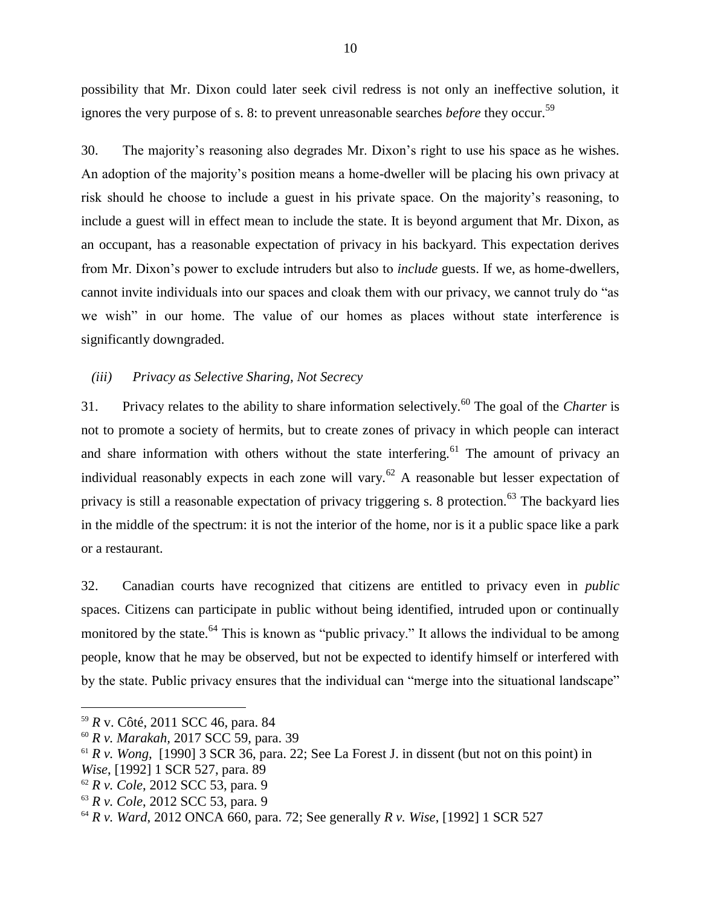possibility that Mr. Dixon could later seek civil redress is not only an ineffective solution, it ignores the very purpose of s. 8: to prevent unreasonable searches *before* they occur.<sup>59</sup>

30. The majority's reasoning also degrades Mr. Dixon's right to use his space as he wishes. An adoption of the majority's position means a home-dweller will be placing his own privacy at risk should he choose to include a guest in his private space. On the majority's reasoning, to include a guest will in effect mean to include the state. It is beyond argument that Mr. Dixon, as an occupant, has a reasonable expectation of privacy in his backyard. This expectation derives from Mr. Dixon's power to exclude intruders but also to *include* guests. If we, as home-dwellers, cannot invite individuals into our spaces and cloak them with our privacy, we cannot truly do "as we wish" in our home. The value of our homes as places without state interference is significantly downgraded.

#### *(iii) Privacy as Selective Sharing, Not Secrecy*

31. Privacy relates to the ability to share information selectively.<sup>60</sup> The goal of the *Charter* is not to promote a society of hermits, but to create zones of privacy in which people can interact and share information with others without the state interfering.<sup>61</sup> The amount of privacy an individual reasonably expects in each zone will vary.<sup>62</sup> A reasonable but lesser expectation of privacy is still a reasonable expectation of privacy triggering s. 8 protection.<sup>63</sup> The backyard lies in the middle of the spectrum: it is not the interior of the home, nor is it a public space like a park or a restaurant.

32. Canadian courts have recognized that citizens are entitled to privacy even in *public* spaces. Citizens can participate in public without being identified, intruded upon or continually monitored by the state.<sup>64</sup> This is known as "public privacy." It allows the individual to be among people, know that he may be observed, but not be expected to identify himself or interfered with by the state. Public privacy ensures that the individual can "merge into the situational landscape"

 $\overline{a}$ 

*Wise*, [1992] 1 SCR 527, para. 89

<sup>59</sup> *R* v. Côté, 2011 SCC 46, para. 84

<sup>60</sup> *R v. Marakah,* 2017 SCC 59, para. 39

 $61 R v$ . *Wong,* [1990] 3 SCR 36, para. 22; See La Forest J. in dissent (but not on this point) in

<sup>62</sup> *R v. Cole*, 2012 SCC 53, para. 9

<sup>63</sup> *R v. Cole*, 2012 SCC 53, para. 9

<sup>64</sup> *R v. Ward*, 2012 ONCA 660, para. 72; See generally *R v. Wise*, [1992] 1 SCR 527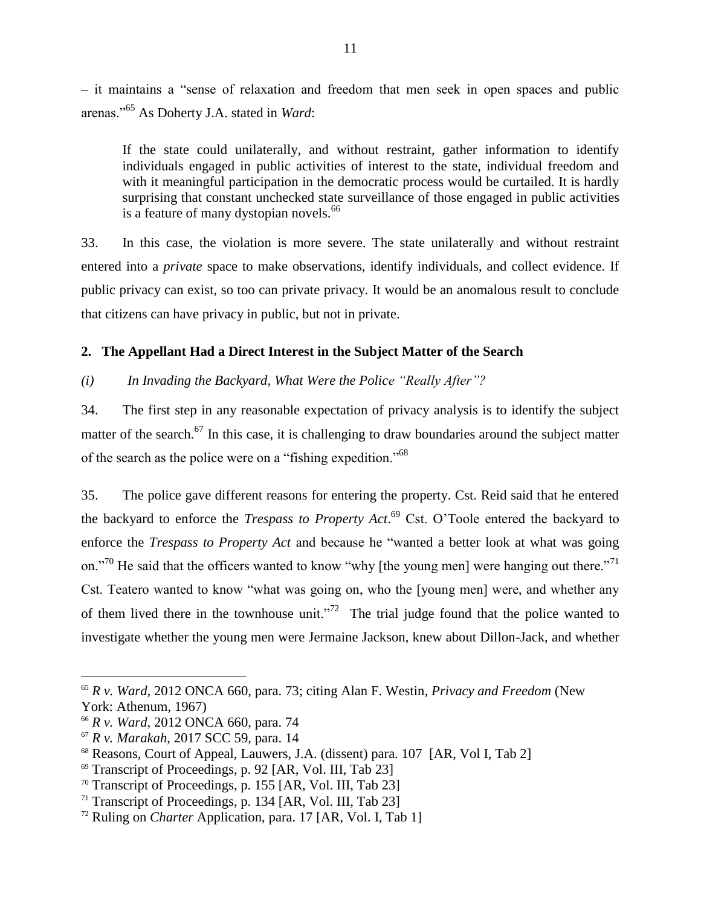– it maintains a "sense of relaxation and freedom that men seek in open spaces and public arenas."<sup>65</sup> As Doherty J.A. stated in *Ward*:

If the state could unilaterally, and without restraint, gather information to identify individuals engaged in public activities of interest to the state, individual freedom and with it meaningful participation in the democratic process would be curtailed. It is hardly surprising that constant unchecked state surveillance of those engaged in public activities is a feature of many dystopian novels.<sup>66</sup>

33. In this case, the violation is more severe. The state unilaterally and without restraint entered into a *private* space to make observations, identify individuals, and collect evidence. If public privacy can exist, so too can private privacy. It would be an anomalous result to conclude that citizens can have privacy in public, but not in private.

## **2. The Appellant Had a Direct Interest in the Subject Matter of the Search**

*(i) In Invading the Backyard, What Were the Police "Really After"?*

34. The first step in any reasonable expectation of privacy analysis is to identify the subject matter of the search.<sup>67</sup> In this case, it is challenging to draw boundaries around the subject matter of the search as the police were on a "fishing expedition."<sup>68</sup>

35. The police gave different reasons for entering the property. Cst. Reid said that he entered the backyard to enforce the *Trespass to Property Act.*<sup>69</sup> Cst. O'Toole entered the backyard to enforce the *Trespass to Property Act* and because he "wanted a better look at what was going on."<sup>70</sup> He said that the officers wanted to know "why [the young men] were hanging out there."<sup>71</sup> Cst. Teatero wanted to know "what was going on, who the [young men] were, and whether any of them lived there in the townhouse unit."<sup>72</sup> The trial judge found that the police wanted to investigate whether the young men were Jermaine Jackson, knew about Dillon-Jack, and whether

<sup>65</sup> *R v. Ward*, 2012 ONCA 660, para. 73; citing Alan F. Westin, *Privacy and Freedom* (New York: Athenum, 1967)

<sup>66</sup> *R v. Ward*, 2012 ONCA 660, para. 74

<sup>67</sup> *R v. Marakah*, 2017 SCC 59, para. 14

<sup>68</sup> Reasons, Court of Appeal, Lauwers, J.A. (dissent) para. 107 [AR, Vol I, Tab 2]

<sup>&</sup>lt;sup>69</sup> Transcript of Proceedings, p. 92 [AR, Vol. III, Tab 23]

<sup>&</sup>lt;sup>70</sup> Transcript of Proceedings, p. 155 [AR, Vol. III, Tab 23]

<sup>&</sup>lt;sup>71</sup> Transcript of Proceedings, p. 134 [AR, Vol. III, Tab 23]

<sup>72</sup> Ruling on *Charter* Application, para. 17 [AR, Vol. I, Tab 1]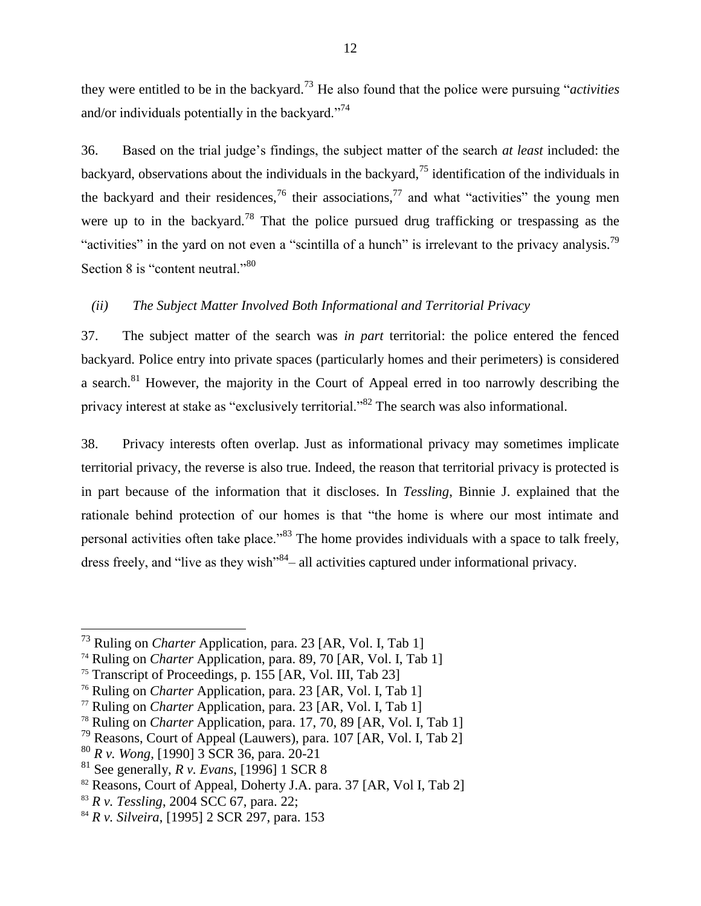they were entitled to be in the backyard.<sup>73</sup> He also found that the police were pursuing "*activities* and/or individuals potentially in the backyard."<sup>74</sup>

36. Based on the trial judge's findings, the subject matter of the search *at least* included: the backyard, observations about the individuals in the backyard,<sup>75</sup> identification of the individuals in the backyard and their residences,<sup>76</sup> their associations,<sup>77</sup> and what "activities" the young men were up to in the backyard.<sup>78</sup> That the police pursued drug trafficking or trespassing as the "activities" in the yard on not even a "scintilla of a hunch" is irrelevant to the privacy analysis.<sup>79</sup> Section 8 is "content neutral."<sup>80</sup>

## *(ii) The Subject Matter Involved Both Informational and Territorial Privacy*

37. The subject matter of the search was *in part* territorial: the police entered the fenced backyard. Police entry into private spaces (particularly homes and their perimeters) is considered a search.<sup>81</sup> However, the majority in the Court of Appeal erred in too narrowly describing the privacy interest at stake as "exclusively territorial."<sup>82</sup> The search was also informational.

38. Privacy interests often overlap. Just as informational privacy may sometimes implicate territorial privacy, the reverse is also true. Indeed, the reason that territorial privacy is protected is in part because of the information that it discloses. In *Tessling*, Binnie J. explained that the rationale behind protection of our homes is that "the home is where our most intimate and personal activities often take place."<sup>83</sup> The home provides individuals with a space to talk freely, dress freely, and "live as they wish"<sup>84</sup> – all activities captured under informational privacy.

<sup>73</sup> Ruling on *Charter* Application, para. 23 [AR, Vol. I, Tab 1]

<sup>&</sup>lt;sup>74</sup> Ruling on *Charter* Application, para. 89, 70 [AR, Vol. I, Tab 1]

<sup>&</sup>lt;sup>75</sup> Transcript of Proceedings, p. 155 [AR, Vol. III, Tab 23]

<sup>76</sup> Ruling on *Charter* Application, para. 23 [AR, Vol. I, Tab 1]

<sup>77</sup> Ruling on *Charter* Application, para. 23 [AR, Vol. I, Tab 1]

<sup>78</sup> Ruling on *Charter* Application, para. 17, 70, 89 [AR, Vol. I, Tab 1]

<sup>79</sup> Reasons, Court of Appeal (Lauwers), para. 107 [AR, Vol. I, Tab 2]

<sup>80</sup> *R v. Wong,* [1990] 3 SCR 36, para. 20-21

<sup>81</sup> See generally, *R v. Evans*, [1996] 1 SCR 8

<sup>&</sup>lt;sup>82</sup> Reasons, Court of Appeal, Doherty J.A. para. 37 [AR, Vol I, Tab 2]

<sup>83</sup> *R v. Tessling*, 2004 SCC 67, para. 22;

<sup>84</sup> *R v. Silveira*, [1995] 2 SCR 297, para. 153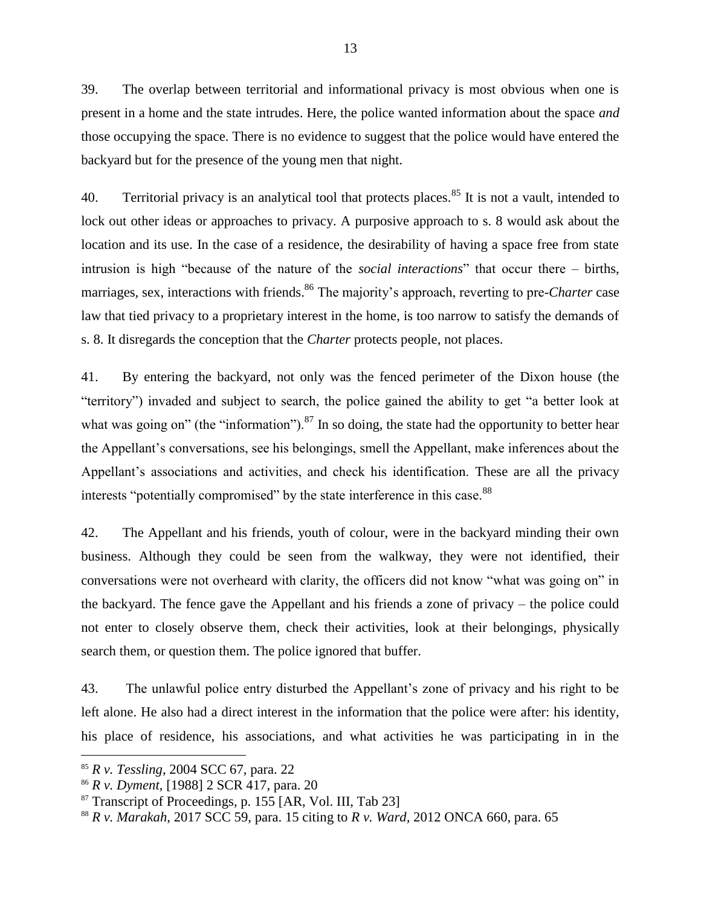39. The overlap between territorial and informational privacy is most obvious when one is present in a home and the state intrudes. Here, the police wanted information about the space *and*  those occupying the space. There is no evidence to suggest that the police would have entered the backyard but for the presence of the young men that night.

40. Territorial privacy is an analytical tool that protects places.<sup>85</sup> It is not a vault, intended to lock out other ideas or approaches to privacy. A purposive approach to s. 8 would ask about the location and its use. In the case of a residence, the desirability of having a space free from state intrusion is high "because of the nature of the *social interactions*" that occur there – births, marriages, sex, interactions with friends.<sup>86</sup> The majority's approach, reverting to pre-*Charter* case law that tied privacy to a proprietary interest in the home, is too narrow to satisfy the demands of s. 8. It disregards the conception that the *Charter* protects people, not places.

41. By entering the backyard, not only was the fenced perimeter of the Dixon house (the "territory") invaded and subject to search, the police gained the ability to get "a better look at what was going on" (the "information").<sup>87</sup> In so doing, the state had the opportunity to better hear the Appellant's conversations, see his belongings, smell the Appellant, make inferences about the Appellant's associations and activities, and check his identification. These are all the privacy interests "potentially compromised" by the state interference in this case.<sup>88</sup>

42. The Appellant and his friends, youth of colour, were in the backyard minding their own business. Although they could be seen from the walkway, they were not identified, their conversations were not overheard with clarity, the officers did not know "what was going on" in the backyard. The fence gave the Appellant and his friends a zone of privacy – the police could not enter to closely observe them, check their activities, look at their belongings, physically search them, or question them. The police ignored that buffer.

43. The unlawful police entry disturbed the Appellant's zone of privacy and his right to be left alone. He also had a direct interest in the information that the police were after: his identity, his place of residence, his associations, and what activities he was participating in in the

<sup>85</sup> *R v. Tessling*, 2004 SCC 67, para. 22

<sup>86</sup> *R v. Dyment*, [1988] 2 SCR 417, para. 20

 $87$  Transcript of Proceedings, p. 155 [AR, Vol. III, Tab 23]

<sup>88</sup> *R v. Marakah*, 2017 SCC 59, para. 15 citing to *R v. Ward,* 2012 ONCA 660, para. 65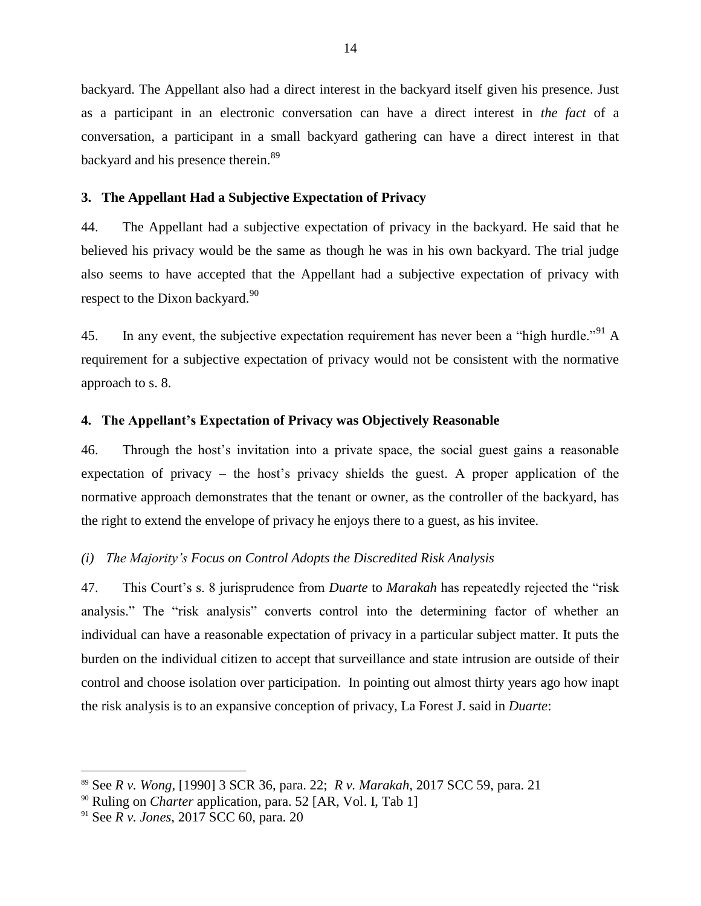backyard. The Appellant also had a direct interest in the backyard itself given his presence. Just as a participant in an electronic conversation can have a direct interest in *the fact* of a conversation, a participant in a small backyard gathering can have a direct interest in that backyard and his presence therein.<sup>89</sup>

## **3. The Appellant Had a Subjective Expectation of Privacy**

44. The Appellant had a subjective expectation of privacy in the backyard. He said that he believed his privacy would be the same as though he was in his own backyard. The trial judge also seems to have accepted that the Appellant had a subjective expectation of privacy with respect to the Dixon backyard.<sup>90</sup>

45. In any event, the subjective expectation requirement has never been a "high hurdle."<sup>91</sup> A requirement for a subjective expectation of privacy would not be consistent with the normative approach to s. 8.

## **4. The Appellant's Expectation of Privacy was Objectively Reasonable**

46. Through the host's invitation into a private space, the social guest gains a reasonable expectation of privacy – the host's privacy shields the guest. A proper application of the normative approach demonstrates that the tenant or owner, as the controller of the backyard, has the right to extend the envelope of privacy he enjoys there to a guest, as his invitee.

## *(i) The Majority's Focus on Control Adopts the Discredited Risk Analysis*

47. This Court's s. 8 jurisprudence from *Duarte* to *Marakah* has repeatedly rejected the "risk analysis." The "risk analysis" converts control into the determining factor of whether an individual can have a reasonable expectation of privacy in a particular subject matter. It puts the burden on the individual citizen to accept that surveillance and state intrusion are outside of their control and choose isolation over participation. In pointing out almost thirty years ago how inapt the risk analysis is to an expansive conception of privacy, La Forest J. said in *Duarte*:

<sup>89</sup> See *R v. Wong,* [1990] 3 SCR 36, para. 22; *R v. Marakah*, 2017 SCC 59, para. 21

<sup>90</sup> Ruling on *Charter* application, para. 52 [AR, Vol. I, Tab 1]

<sup>91</sup> See *R v. Jones*, 2017 SCC 60, para. 20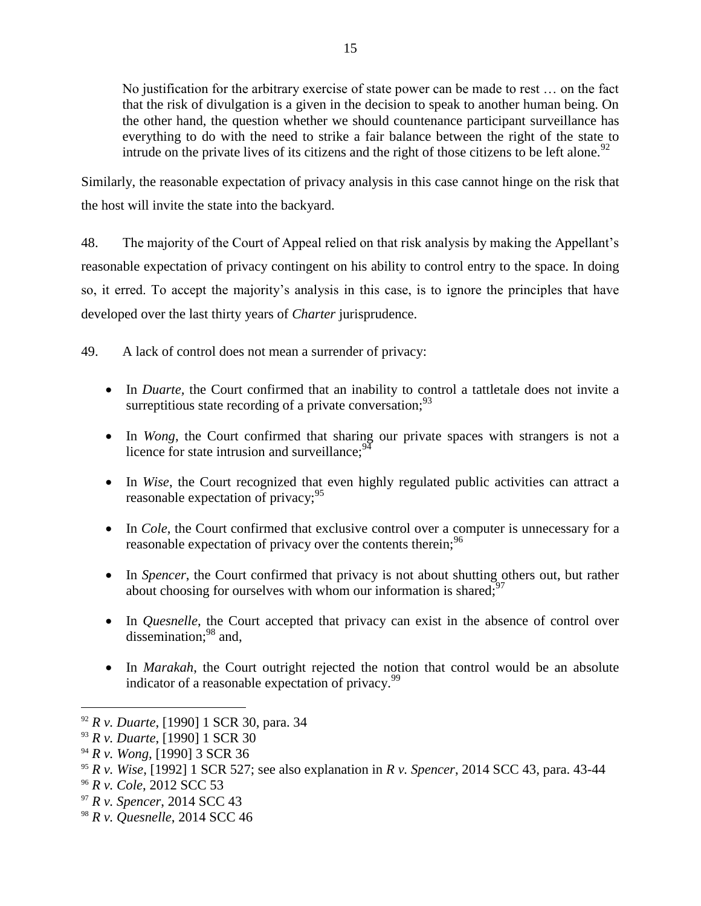No justification for the arbitrary exercise of state power can be made to rest … on the fact that the risk of divulgation is a given in the decision to speak to another human being. On the other hand, the question whether we should countenance participant surveillance has everything to do with the need to strike a fair balance between the right of the state to intrude on the private lives of its citizens and the right of those citizens to be left alone.<sup>92</sup>

Similarly, the reasonable expectation of privacy analysis in this case cannot hinge on the risk that the host will invite the state into the backyard.

48. The majority of the Court of Appeal relied on that risk analysis by making the Appellant's reasonable expectation of privacy contingent on his ability to control entry to the space. In doing so, it erred. To accept the majority's analysis in this case, is to ignore the principles that have developed over the last thirty years of *Charter* jurisprudence.

49. A lack of control does not mean a surrender of privacy:

- In *Duarte*, the Court confirmed that an inability to control a tattletale does not invite a surreptitious state recording of a private conversation;  $93$
- In *Wong*, the Court confirmed that sharing our private spaces with strangers is not a licence for state intrusion and surveillance;  $94$
- In *Wise*, the Court recognized that even highly regulated public activities can attract a reasonable expectation of privacy;  $95$
- In *Cole*, the Court confirmed that exclusive control over a computer is unnecessary for a reasonable expectation of privacy over the contents therein;<sup>96</sup>
- In *Spencer*, the Court confirmed that privacy is not about shutting others out, but rather about choosing for ourselves with whom our information is shared;  $97$
- In *Quesnelle*, the Court accepted that privacy can exist in the absence of control over dissemination; $^{98}$  and,
- In *Marakah*, the Court outright rejected the notion that control would be an absolute indicator of a reasonable expectation of privacy. $99$

<sup>92</sup> *R v. Duarte*, [1990] 1 SCR 30, para. 34

<sup>93</sup> *R v. Duarte*, [1990] 1 SCR 30

<sup>94</sup> *R v. Wong,* [1990] 3 SCR 36

<sup>95</sup> *R v. Wise*, [1992] 1 SCR 527; see also explanation in *R v. Spencer*, 2014 SCC 43, para. 43-44

<sup>96</sup> *R v. Cole*, 2012 SCC 53

<sup>97</sup> *R v. Spencer*, 2014 SCC 43

<sup>98</sup> *R v. Quesnelle*, 2014 SCC 46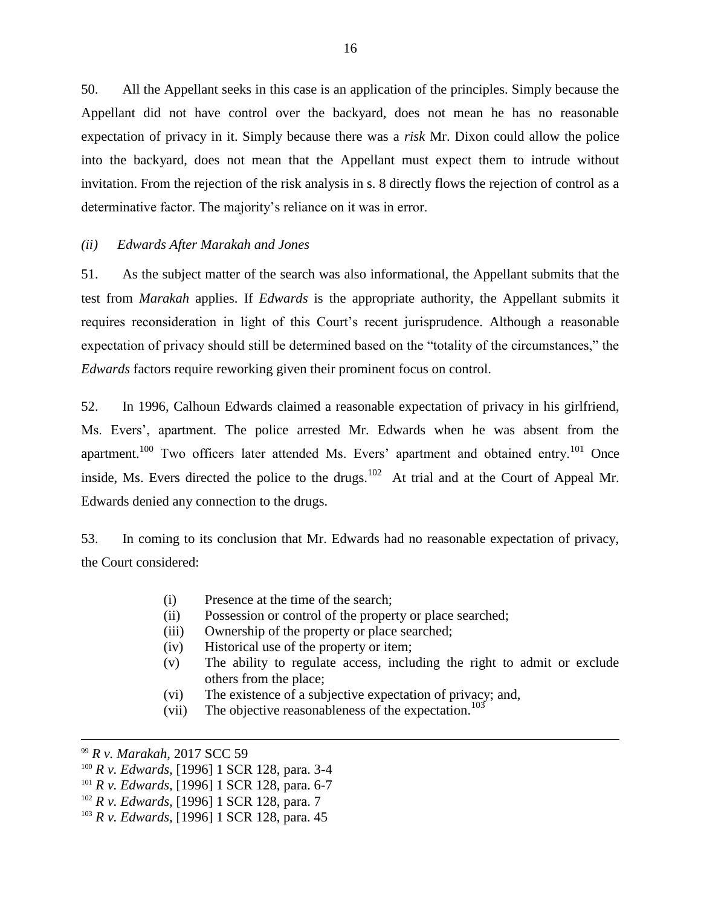50. All the Appellant seeks in this case is an application of the principles. Simply because the Appellant did not have control over the backyard, does not mean he has no reasonable expectation of privacy in it. Simply because there was a *risk* Mr. Dixon could allow the police into the backyard, does not mean that the Appellant must expect them to intrude without invitation. From the rejection of the risk analysis in s. 8 directly flows the rejection of control as a determinative factor. The majority's reliance on it was in error.

## *(ii) Edwards After Marakah and Jones*

51. As the subject matter of the search was also informational, the Appellant submits that the test from *Marakah* applies. If *Edwards* is the appropriate authority, the Appellant submits it requires reconsideration in light of this Court's recent jurisprudence. Although a reasonable expectation of privacy should still be determined based on the "totality of the circumstances," the *Edwards* factors require reworking given their prominent focus on control.

52. In 1996, Calhoun Edwards claimed a reasonable expectation of privacy in his girlfriend, Ms. Evers', apartment. The police arrested Mr. Edwards when he was absent from the apartment.<sup>100</sup> Two officers later attended Ms. Evers' apartment and obtained entry.<sup>101</sup> Once inside, Ms. Evers directed the police to the drugs.<sup>102</sup> At trial and at the Court of Appeal Mr. Edwards denied any connection to the drugs.

53. In coming to its conclusion that Mr. Edwards had no reasonable expectation of privacy, the Court considered:

- (i) Presence at the time of the search;
- (ii) Possession or control of the property or place searched;
- (iii) Ownership of the property or place searched;
- (iv) Historical use of the property or item;
- (v) The ability to regulate access, including the right to admit or exclude others from the place;
- (vi) The existence of a subjective expectation of privacy; and,
- (vii) The objective reasonableness of the expectation.<sup>103</sup>

<sup>99</sup> *R v. Marakah*, 2017 SCC 59

<sup>100</sup> *R v. Edwards,* [1996] 1 SCR 128, para. 3-4

<sup>101</sup> *R v. Edwards,* [1996] 1 SCR 128, para. 6-7

<sup>102</sup> *R v. Edwards,* [1996] 1 SCR 128, para. 7

<sup>103</sup> *R v. Edwards,* [1996] 1 SCR 128, para. 45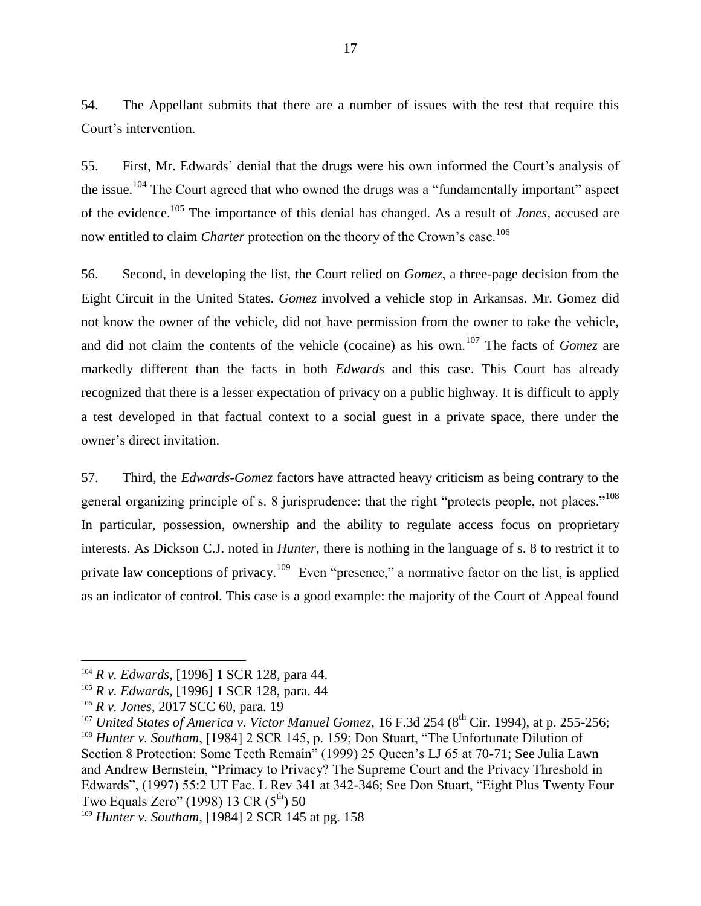54. The Appellant submits that there are a number of issues with the test that require this Court's intervention.

55. First, Mr. Edwards' denial that the drugs were his own informed the Court's analysis of the issue.<sup>104</sup> The Court agreed that who owned the drugs was a "fundamentally important" aspect of the evidence.<sup>105</sup> The importance of this denial has changed. As a result of *Jones*, accused are now entitled to claim *Charter* protection on the theory of the Crown's case.<sup>106</sup>

56. Second, in developing the list, the Court relied on *Gomez*, a three-page decision from the Eight Circuit in the United States. *Gomez* involved a vehicle stop in Arkansas. Mr. Gomez did not know the owner of the vehicle, did not have permission from the owner to take the vehicle, and did not claim the contents of the vehicle (cocaine) as his own.<sup>107</sup> The facts of *Gomez* are markedly different than the facts in both *Edwards* and this case. This Court has already recognized that there is a lesser expectation of privacy on a public highway. It is difficult to apply a test developed in that factual context to a social guest in a private space, there under the owner's direct invitation.

57. Third, the *Edwards-Gomez* factors have attracted heavy criticism as being contrary to the general organizing principle of s. 8 jurisprudence: that the right "protects people, not places."<sup>108</sup> In particular, possession, ownership and the ability to regulate access focus on proprietary interests. As Dickson C.J. noted in *Hunter*, there is nothing in the language of s. 8 to restrict it to private law conceptions of privacy.<sup>109</sup> Even "presence," a normative factor on the list, is applied as an indicator of control. This case is a good example: the majority of the Court of Appeal found

<sup>104</sup> *R v. Edwards,* [1996] 1 SCR 128, para 44.

<sup>105</sup> *R v. Edwards,* [1996] 1 SCR 128, para. 44

<sup>106</sup> *R v. Jones,* 2017 SCC 60, para. 19

<sup>&</sup>lt;sup>107</sup> *United States of America v. Victor Manuel Gomez*, 16 F.3d 254 (8<sup>th</sup> Cir. 1994), at p. 255-256;

<sup>&</sup>lt;sup>108</sup> *Hunter v. Southam*, [1984] 2 SCR 145, p. 159; Don Stuart, "The Unfortunate Dilution of Section 8 Protection: Some Teeth Remain" (1999) 25 Queen's LJ 65 at 70-71; See Julia Lawn and Andrew Bernstein, "Primacy to Privacy? The Supreme Court and the Privacy Threshold in Edwards", (1997) 55:2 UT Fac. L Rev 341 at 342-346; See Don Stuart, "Eight Plus Twenty Four Two Equals Zero" (1998) 13 CR  $(5^{th})$  50

<sup>109</sup> *Hunter v. Southam,* [1984] 2 SCR 145 at pg. 158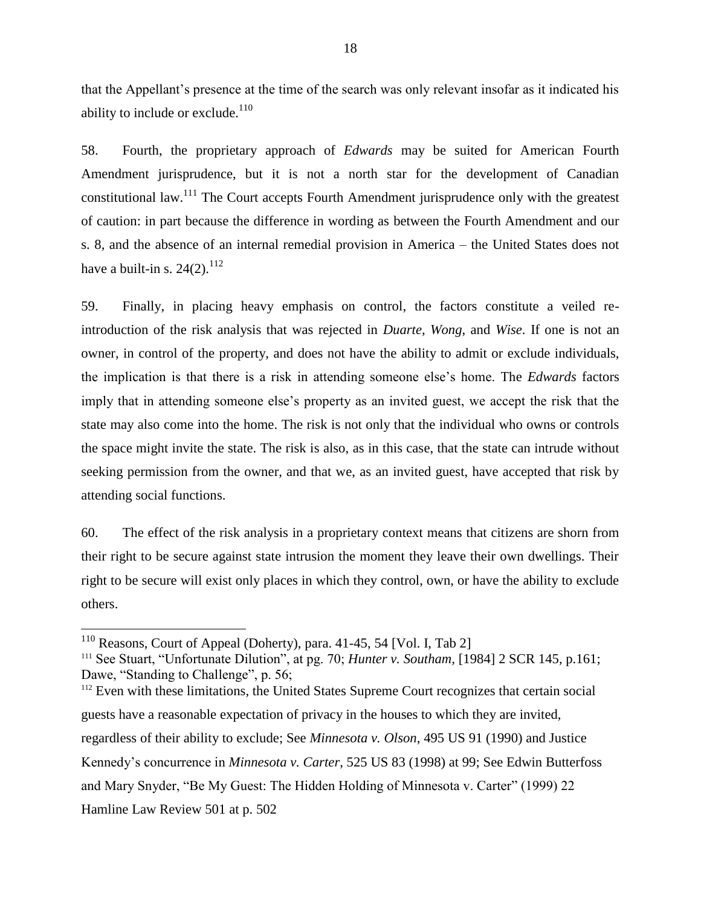that the Appellant's presence at the time of the search was only relevant insofar as it indicated his ability to include or exclude. $110$ 

58. Fourth, the proprietary approach of *Edwards* may be suited for American Fourth Amendment jurisprudence, but it is not a north star for the development of Canadian constitutional law.<sup>111</sup> The Court accepts Fourth Amendment jurisprudence only with the greatest of caution: in part because the difference in wording as between the Fourth Amendment and our s. 8, and the absence of an internal remedial provision in America – the United States does not have a built-in s.  $24(2)$ .<sup>112</sup>

59. Finally, in placing heavy emphasis on control, the factors constitute a veiled reintroduction of the risk analysis that was rejected in *Duarte, Wong*, and *Wise*. If one is not an owner, in control of the property, and does not have the ability to admit or exclude individuals, the implication is that there is a risk in attending someone else's home. The *Edwards* factors imply that in attending someone else's property as an invited guest, we accept the risk that the state may also come into the home. The risk is not only that the individual who owns or controls the space might invite the state. The risk is also, as in this case, that the state can intrude without seeking permission from the owner, and that we, as an invited guest, have accepted that risk by attending social functions.

60. The effect of the risk analysis in a proprietary context means that citizens are shorn from their right to be secure against state intrusion the moment they leave their own dwellings. Their right to be secure will exist only places in which they control, own, or have the ability to exclude others.

 $110$  Reasons, Court of Appeal (Doherty), para. 41-45, 54 [Vol. I, Tab 2]

<sup>111</sup> See Stuart, "Unfortunate Dilution", at pg. 70; *Hunter v. Southam*, [1984] 2 SCR 145, p.161; Dawe, "Standing to Challenge", p. 56;

<sup>&</sup>lt;sup>112</sup> Even with these limitations, the United States Supreme Court recognizes that certain social guests have a reasonable expectation of privacy in the houses to which they are invited, regardless of their ability to exclude; See *Minnesota v. Olson*, 495 US 91 (1990) and Justice Kennedy's concurrence in *Minnesota v. Carter*, 525 US 83 (1998) at 99; See Edwin Butterfoss and Mary Snyder, "Be My Guest: The Hidden Holding of Minnesota v. Carter" (1999) 22 Hamline Law Review 501 at p. 502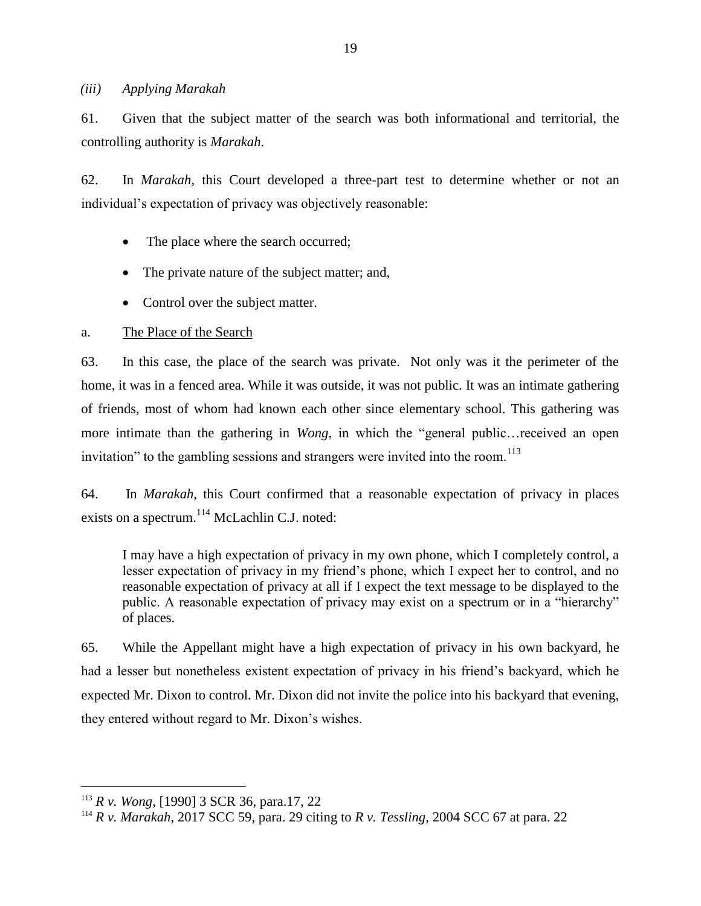#### *(iii) Applying Marakah*

61. Given that the subject matter of the search was both informational and territorial, the controlling authority is *Marakah*.

62. In *Marakah,* this Court developed a three-part test to determine whether or not an individual's expectation of privacy was objectively reasonable:

- The place where the search occurred;
- The private nature of the subject matter; and,
- Control over the subject matter.

## a. The Place of the Search

63. In this case, the place of the search was private. Not only was it the perimeter of the home, it was in a fenced area. While it was outside, it was not public. It was an intimate gathering of friends, most of whom had known each other since elementary school. This gathering was more intimate than the gathering in *Wong*, in which the "general public…received an open invitation" to the gambling sessions and strangers were invited into the room.<sup>113</sup>

64. In *Marakah*, this Court confirmed that a reasonable expectation of privacy in places exists on a spectrum.<sup>114</sup> McLachlin C.J. noted:

I may have a high expectation of privacy in my own phone, which I completely control, a lesser expectation of privacy in my friend's phone, which I expect her to control, and no reasonable expectation of privacy at all if I expect the text message to be displayed to the public. A reasonable expectation of privacy may exist on a spectrum or in a "hierarchy" of places.

65. While the Appellant might have a high expectation of privacy in his own backyard, he had a lesser but nonetheless existent expectation of privacy in his friend's backyard, which he expected Mr. Dixon to control. Mr. Dixon did not invite the police into his backyard that evening, they entered without regard to Mr. Dixon's wishes.

<sup>113</sup> *R v. Wong,* [1990] 3 SCR 36, para.17, 22

<sup>114</sup> *R v. Marakah*, 2017 SCC 59, para. 29 citing to *R v. Tessling*, 2004 SCC 67 at para. 22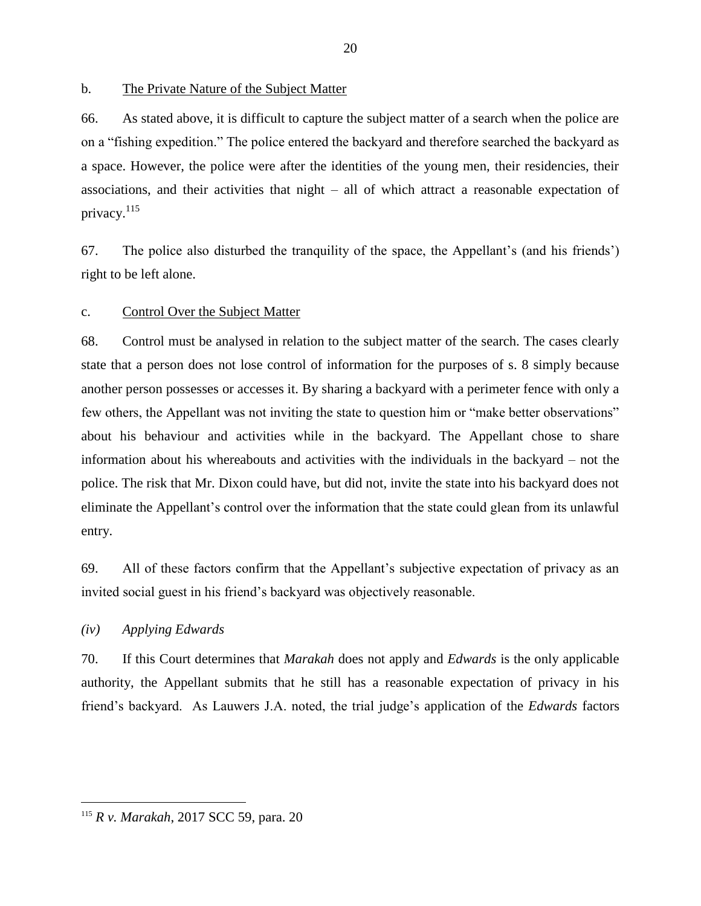b. The Private Nature of the Subject Matter

66. As stated above, it is difficult to capture the subject matter of a search when the police are on a "fishing expedition." The police entered the backyard and therefore searched the backyard as a space. However, the police were after the identities of the young men, their residencies, their associations, and their activities that night – all of which attract a reasonable expectation of privacy. $^{115}$ 

67. The police also disturbed the tranquility of the space, the Appellant's (and his friends') right to be left alone.

## c. Control Over the Subject Matter

68. Control must be analysed in relation to the subject matter of the search. The cases clearly state that a person does not lose control of information for the purposes of s. 8 simply because another person possesses or accesses it. By sharing a backyard with a perimeter fence with only a few others, the Appellant was not inviting the state to question him or "make better observations" about his behaviour and activities while in the backyard. The Appellant chose to share information about his whereabouts and activities with the individuals in the backyard – not the police. The risk that Mr. Dixon could have, but did not, invite the state into his backyard does not eliminate the Appellant's control over the information that the state could glean from its unlawful entry.

69. All of these factors confirm that the Appellant's subjective expectation of privacy as an invited social guest in his friend's backyard was objectively reasonable.

## *(iv) Applying Edwards*

 $\overline{a}$ 

70. If this Court determines that *Marakah* does not apply and *Edwards* is the only applicable authority, the Appellant submits that he still has a reasonable expectation of privacy in his friend's backyard. As Lauwers J.A. noted, the trial judge's application of the *Edwards* factors

<sup>115</sup> *R v. Marakah*, 2017 SCC 59, para. 20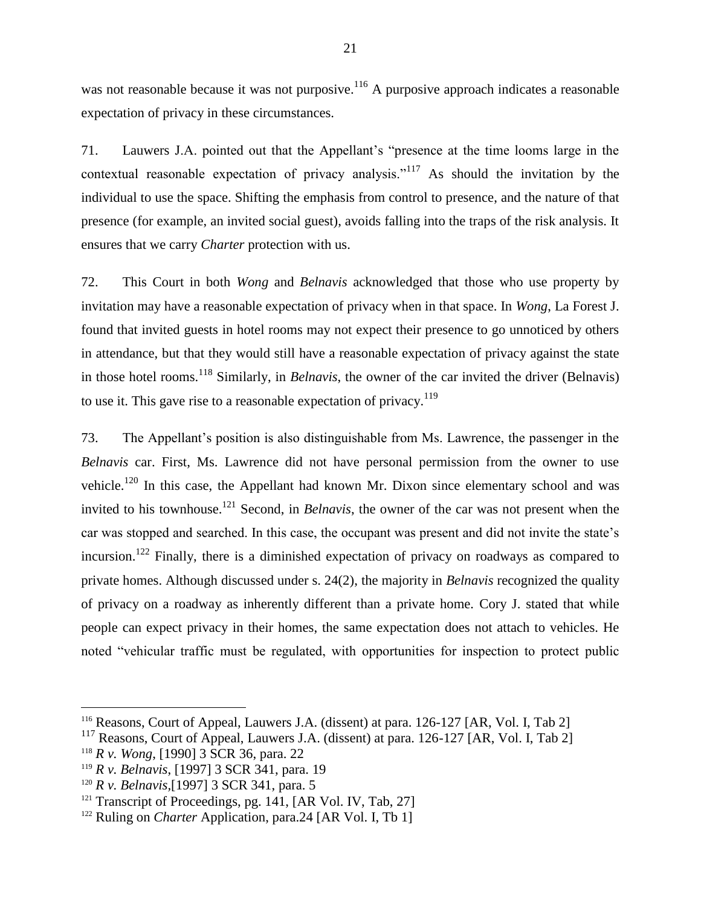was not reasonable because it was not purposive.<sup>116</sup> A purposive approach indicates a reasonable expectation of privacy in these circumstances.

71. Lauwers J.A. pointed out that the Appellant's "presence at the time looms large in the contextual reasonable expectation of privacy analysis."<sup>117</sup> As should the invitation by the individual to use the space. Shifting the emphasis from control to presence, and the nature of that presence (for example, an invited social guest), avoids falling into the traps of the risk analysis. It ensures that we carry *Charter* protection with us.

72. This Court in both *Wong* and *Belnavis* acknowledged that those who use property by invitation may have a reasonable expectation of privacy when in that space. In *Wong*, La Forest J. found that invited guests in hotel rooms may not expect their presence to go unnoticed by others in attendance, but that they would still have a reasonable expectation of privacy against the state in those hotel rooms.<sup>118</sup> Similarly, in *Belnavis*, the owner of the car invited the driver (Belnavis) to use it. This gave rise to a reasonable expectation of privacy.<sup>119</sup>

73. The Appellant's position is also distinguishable from Ms. Lawrence, the passenger in the *Belnavis* car. First, Ms. Lawrence did not have personal permission from the owner to use vehicle.<sup>120</sup> In this case, the Appellant had known Mr. Dixon since elementary school and was invited to his townhouse.<sup>121</sup> Second, in *Belnavis*, the owner of the car was not present when the car was stopped and searched. In this case, the occupant was present and did not invite the state's incursion.<sup>122</sup> Finally, there is a diminished expectation of privacy on roadways as compared to private homes. Although discussed under s. 24(2), the majority in *Belnavis* recognized the quality of privacy on a roadway as inherently different than a private home*.* Cory J. stated that while people can expect privacy in their homes, the same expectation does not attach to vehicles. He noted "vehicular traffic must be regulated, with opportunities for inspection to protect public

<sup>116</sup> Reasons, Court of Appeal, Lauwers J.A. (dissent) at para. 126-127 [AR, Vol. I, Tab 2]

<sup>&</sup>lt;sup>117</sup> Reasons, Court of Appeal, Lauwers J.A. (dissent) at para. 126-127 [AR, Vol. I, Tab 2]

<sup>118</sup> *R v. Wong*, [1990] 3 SCR 36, para. 22

<sup>119</sup> *R v. Belnavis*, [1997] 3 SCR 341, para. 19

<sup>120</sup> *R v. Belnavis,*[1997] 3 SCR 341, para. 5

<sup>&</sup>lt;sup>121</sup> Transcript of Proceedings, pg. 141, [AR Vol. IV, Tab, 27]

<sup>&</sup>lt;sup>122</sup> Ruling on *Charter* Application, para.24 [AR Vol. I, Tb 1]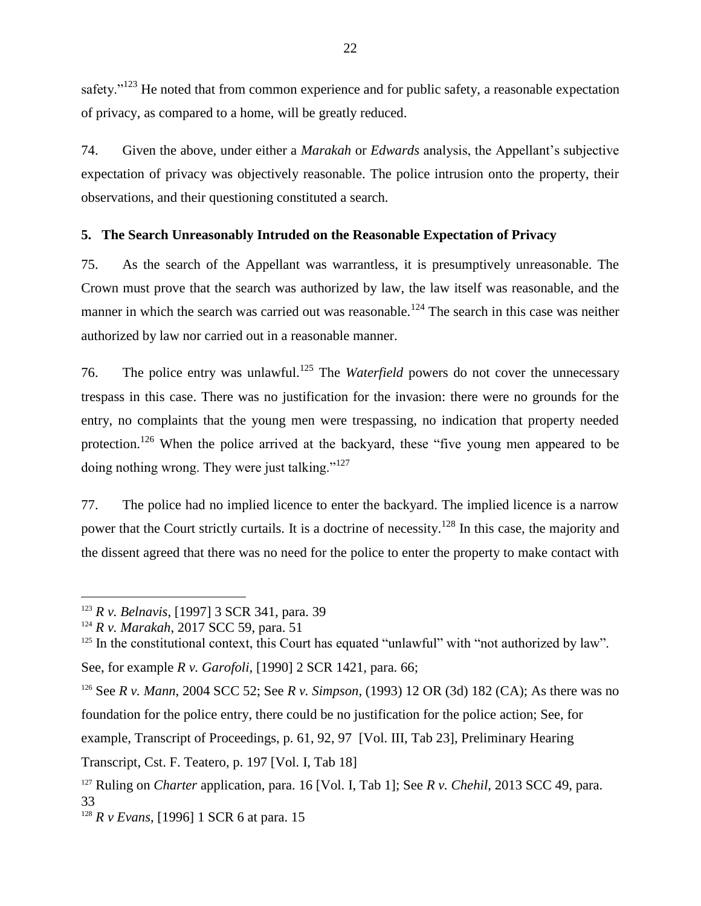safety."<sup>123</sup> He noted that from common experience and for public safety, a reasonable expectation of privacy, as compared to a home, will be greatly reduced.

74. Given the above, under either a *Marakah* or *Edwards* analysis, the Appellant's subjective expectation of privacy was objectively reasonable. The police intrusion onto the property, their observations, and their questioning constituted a search.

# **5. The Search Unreasonably Intruded on the Reasonable Expectation of Privacy**

75. As the search of the Appellant was warrantless, it is presumptively unreasonable. The Crown must prove that the search was authorized by law, the law itself was reasonable, and the manner in which the search was carried out was reasonable.<sup>124</sup> The search in this case was neither authorized by law nor carried out in a reasonable manner.

76. The police entry was unlawful.<sup>125</sup> The *Waterfield* powers do not cover the unnecessary trespass in this case. There was no justification for the invasion: there were no grounds for the entry, no complaints that the young men were trespassing, no indication that property needed protection.<sup>126</sup> When the police arrived at the backyard, these "five young men appeared to be doing nothing wrong. They were just talking."<sup>127</sup>

77. The police had no implied licence to enter the backyard. The implied licence is a narrow power that the Court strictly curtails. It is a doctrine of necessity.<sup>128</sup> In this case, the majority and the dissent agreed that there was no need for the police to enter the property to make contact with

<sup>123</sup> *R v. Belnavis*, [1997] 3 SCR 341, para. 39

<sup>124</sup> *R v. Marakah*, 2017 SCC 59, para. 51

 $125$  In the constitutional context, this Court has equated "unlawful" with "not authorized by law".

See, for example *R v. Garofoli,* [1990] 2 SCR 1421*,* para. 66;

<sup>126</sup> See *R v. Mann*, 2004 SCC 52; See *R v. Simpson*, (1993) 12 OR (3d) 182 (CA); As there was no foundation for the police entry, there could be no justification for the police action; See, for example, Transcript of Proceedings, p. 61, 92, 97 [Vol. III, Tab 23], Preliminary Hearing Transcript, Cst. F. Teatero, p. 197 [Vol. I, Tab 18]

<sup>127</sup> Ruling on *Charter* application, para. 16 [Vol. I, Tab 1]; See *R v. Chehil*, 2013 SCC 49, para. 33

<sup>128</sup> *R v Evans*, [1996] 1 SCR 6 at para. 15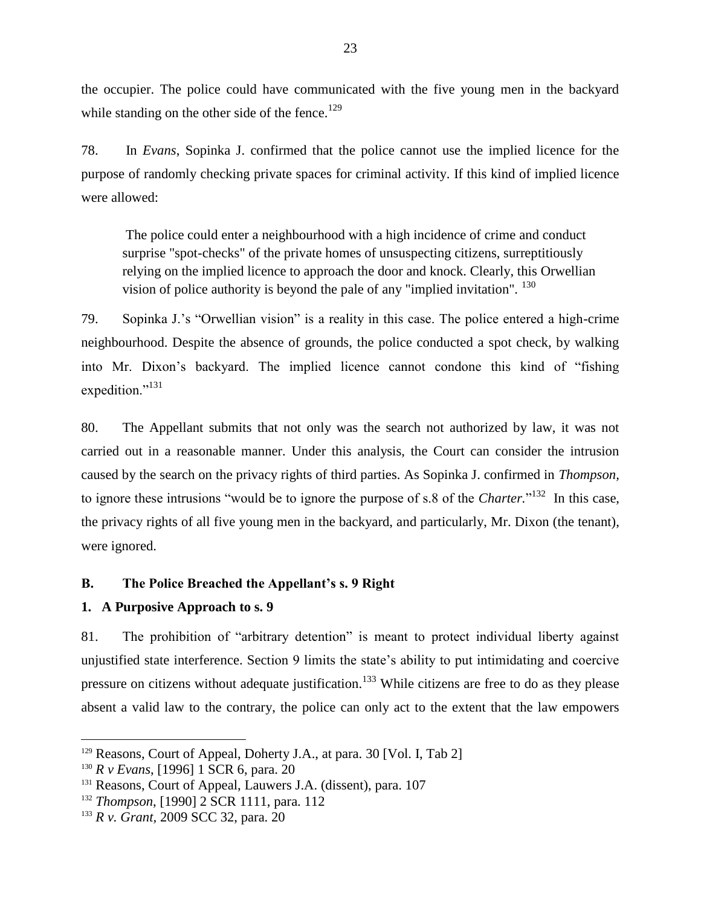the occupier. The police could have communicated with the five young men in the backyard while standing on the other side of the fence. $129$ 

78. In *Evans*, Sopinka J. confirmed that the police cannot use the implied licence for the purpose of randomly checking private spaces for criminal activity. If this kind of implied licence were allowed:

The police could enter a neighbourhood with a high incidence of crime and conduct surprise "spot-checks" of the private homes of unsuspecting citizens, surreptitiously relying on the implied licence to approach the door and knock. Clearly, this Orwellian vision of police authority is beyond the pale of any "implied invitation". <sup>130</sup>

79. Sopinka J.'s "Orwellian vision" is a reality in this case. The police entered a high-crime neighbourhood. Despite the absence of grounds, the police conducted a spot check, by walking into Mr. Dixon's backyard. The implied licence cannot condone this kind of "fishing expedition."<sup>131</sup>

80. The Appellant submits that not only was the search not authorized by law, it was not carried out in a reasonable manner. Under this analysis, the Court can consider the intrusion caused by the search on the privacy rights of third parties. As Sopinka J. confirmed in *Thompson,*  to ignore these intrusions "would be to ignore the purpose of s.8 of the *Charter*."<sup>132</sup> In this case, the privacy rights of all five young men in the backyard, and particularly, Mr. Dixon (the tenant), were ignored.

## **B. The Police Breached the Appellant's s. 9 Right**

## **1. A Purposive Approach to s. 9**

81. The prohibition of "arbitrary detention" is meant to protect individual liberty against unjustified state interference. Section 9 limits the state's ability to put intimidating and coercive pressure on citizens without adequate justification.<sup>133</sup> While citizens are free to do as they please absent a valid law to the contrary, the police can only act to the extent that the law empowers

 $129$  Reasons, Court of Appeal, Doherty J.A., at para. 30 [Vol. I, Tab 2]

<sup>130</sup> *R v Evans*, [1996] 1 SCR 6, para. 20

<sup>&</sup>lt;sup>131</sup> Reasons, Court of Appeal, Lauwers J.A. (dissent), para. 107

<sup>132</sup> *Thompson*, [1990] 2 SCR 1111, para. 112

<sup>133</sup> *R v. Grant,* 2009 SCC 32, para. 20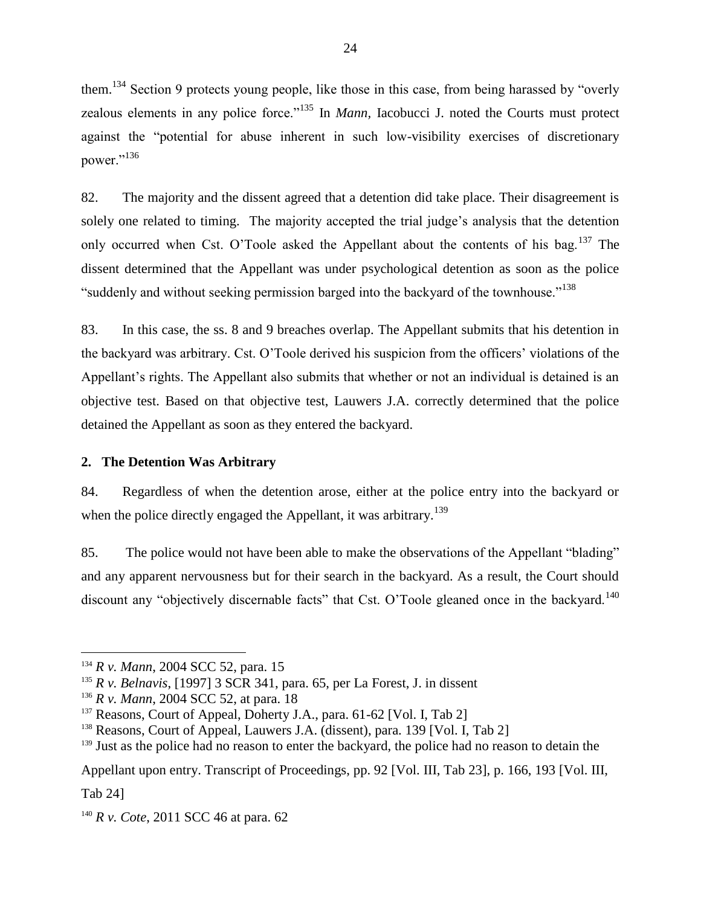them.<sup>134</sup> Section 9 protects young people, like those in this case, from being harassed by "overly zealous elements in any police force."<sup>135</sup> In *Mann*, Iacobucci J. noted the Courts must protect against the "potential for abuse inherent in such low-visibility exercises of discretionary power."<sup>136</sup>

82. The majority and the dissent agreed that a detention did take place. Their disagreement is solely one related to timing. The majority accepted the trial judge's analysis that the detention only occurred when Cst. O'Toole asked the Appellant about the contents of his bag.<sup>137</sup> The dissent determined that the Appellant was under psychological detention as soon as the police "suddenly and without seeking permission barged into the backyard of the townhouse."<sup>138</sup>

83. In this case, the ss. 8 and 9 breaches overlap. The Appellant submits that his detention in the backyard was arbitrary. Cst. O'Toole derived his suspicion from the officers' violations of the Appellant's rights. The Appellant also submits that whether or not an individual is detained is an objective test. Based on that objective test, Lauwers J.A. correctly determined that the police detained the Appellant as soon as they entered the backyard.

## **2. The Detention Was Arbitrary**

84. Regardless of when the detention arose, either at the police entry into the backyard or when the police directly engaged the Appellant, it was arbitrary.<sup>139</sup>

85. The police would not have been able to make the observations of the Appellant "blading" and any apparent nervousness but for their search in the backyard. As a result, the Court should discount any "objectively discernable facts" that Cst. O'Toole gleaned once in the backyard.<sup>140</sup>

 $\overline{a}$ 

Appellant upon entry. Transcript of Proceedings, pp. 92 [Vol. III, Tab 23], p. 166, 193 [Vol. III, Tab 24]

<sup>140</sup> *R v. Cote*, 2011 SCC 46 at para. 62

<sup>134</sup> *R v. Mann*, 2004 SCC 52, para. 15

<sup>135</sup> *R v. Belnavis*, [1997] 3 SCR 341, para. 65, per La Forest, J. in dissent

<sup>136</sup> *R v. Mann*, 2004 SCC 52, at para. 18

 $137$  Reasons, Court of Appeal, Doherty J.A., para. 61-62 [Vol. I, Tab 2]

<sup>&</sup>lt;sup>138</sup> Reasons, Court of Appeal, Lauwers J.A. (dissent), para. 139 [Vol. I, Tab 2]

<sup>&</sup>lt;sup>139</sup> Just as the police had no reason to enter the backyard, the police had no reason to detain the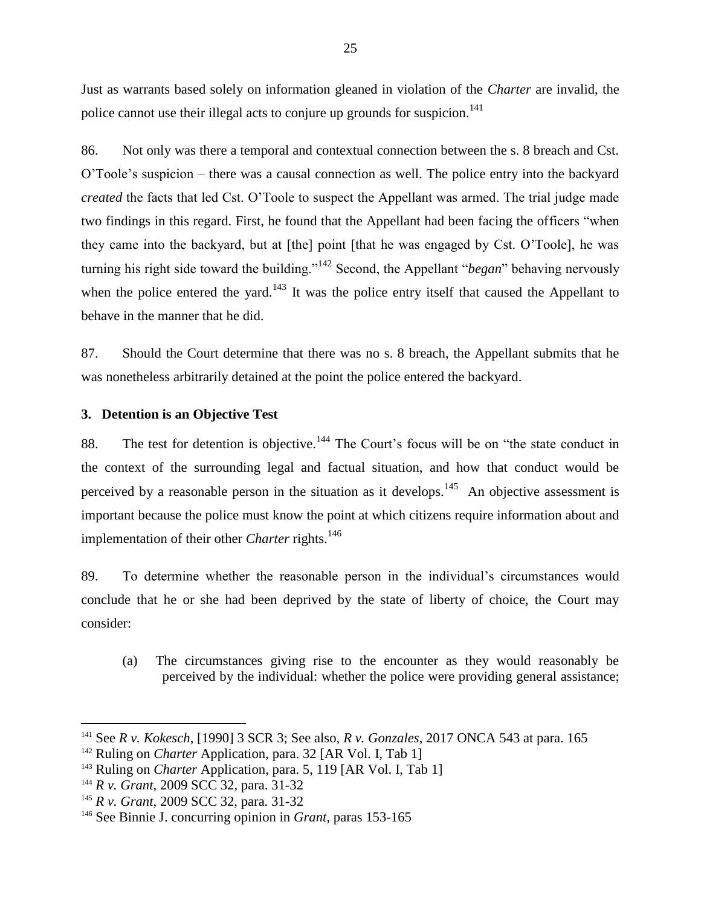Just as warrants based solely on information gleaned in violation of the *Charter* are invalid, the police cannot use their illegal acts to conjure up grounds for suspicion.<sup>141</sup>

86. Not only was there a temporal and contextual connection between the s. 8 breach and Cst. O'Toole's suspicion – there was a causal connection as well. The police entry into the backyard *created* the facts that led Cst. O'Toole to suspect the Appellant was armed. The trial judge made two findings in this regard. First, he found that the Appellant had been facing the officers "when they came into the backyard, but at [the] point [that he was engaged by Cst. O'Toole], he was turning his right side toward the building."<sup>142</sup> Second, the Appellant "*began*" behaving nervously when the police entered the yard.<sup>143</sup> It was the police entry itself that caused the Appellant to behave in the manner that he did.

87. Should the Court determine that there was no s. 8 breach, the Appellant submits that he was nonetheless arbitrarily detained at the point the police entered the backyard.

## **3. Detention is an Objective Test**

88. The test for detention is objective.<sup>144</sup> The Court's focus will be on "the state conduct in the context of the surrounding legal and factual situation, and how that conduct would be perceived by a reasonable person in the situation as it develops.<sup>145</sup> An objective assessment is important because the police must know the point at which citizens require information about and implementation of their other *Charter* rights.<sup>146</sup>

89. To determine whether the reasonable person in the individual's circumstances would conclude that he or she had been deprived by the state of liberty of choice, the Court may consider:

(a) The circumstances giving rise to the encounter as they would reasonably be perceived by the individual: whether the police were providing general assistance;

<sup>141</sup> See *R v. Kokesch*, [1990] 3 SCR 3; See also, *R v. Gonzales*, 2017 ONCA 543 at para. 165

<sup>&</sup>lt;sup>142</sup> Ruling on *Charter* Application, para. 32 [AR Vol. I, Tab 1]

<sup>&</sup>lt;sup>143</sup> Ruling on *Charter* Application, para. 5, 119 [AR Vol. I, Tab 1]

<sup>144</sup> *R v. Grant*, 2009 SCC 32*,* para. 31-32

<sup>145</sup> *R v. Grant*, 2009 SCC 32, para. 31-32

<sup>146</sup> See Binnie J. concurring opinion in *Grant*, paras 153-165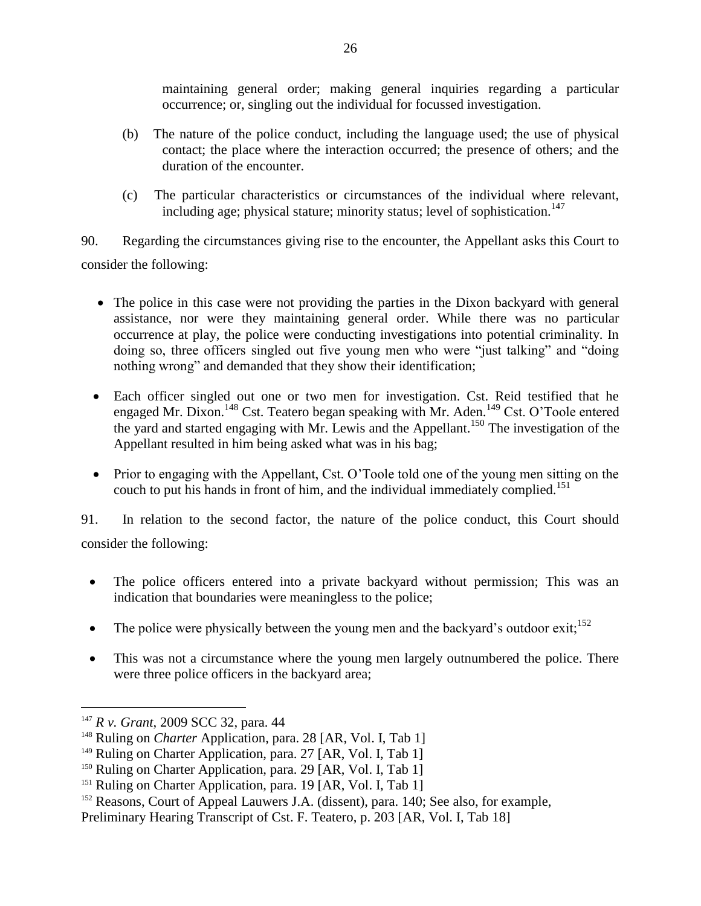maintaining general order; making general inquiries regarding a particular occurrence; or, singling out the individual for focussed investigation.

- (b) The nature of the police conduct, including the language used; the use of physical contact; the place where the interaction occurred; the presence of others; and the duration of the encounter.
- (c) The particular characteristics or circumstances of the individual where relevant, including age; physical stature; minority status; level of sophistication.<sup>147</sup>

90. Regarding the circumstances giving rise to the encounter, the Appellant asks this Court to consider the following:

- The police in this case were not providing the parties in the Dixon backyard with general assistance, nor were they maintaining general order. While there was no particular occurrence at play, the police were conducting investigations into potential criminality. In doing so, three officers singled out five young men who were "just talking" and "doing nothing wrong" and demanded that they show their identification;
- Each officer singled out one or two men for investigation. Cst. Reid testified that he engaged Mr. Dixon.<sup>148</sup> Cst. Teatero began speaking with Mr. Aden.<sup>149</sup> Cst. O'Toole entered the yard and started engaging with Mr. Lewis and the Appellant.<sup>150</sup> The investigation of the Appellant resulted in him being asked what was in his bag;
- Prior to engaging with the Appellant, Cst. O'Toole told one of the young men sitting on the couch to put his hands in front of him, and the individual immediately complied.<sup>151</sup>

91. In relation to the second factor, the nature of the police conduct, this Court should consider the following:

• The police officers entered into a private backyard without permission; This was an indication that boundaries were meaningless to the police;

- The police were physically between the young men and the backyard's outdoor exit;<sup>152</sup>
- This was not a circumstance where the young men largely outnumbered the police. There were three police officers in the backyard area;

<sup>147</sup> *R v. Grant*, 2009 SCC 32, para. 44

<sup>&</sup>lt;sup>148</sup> Ruling on *Charter* Application, para. 28 [AR, Vol. I, Tab 1]

<sup>&</sup>lt;sup>149</sup> Ruling on Charter Application, para. 27 [AR, Vol. I, Tab 1]

<sup>&</sup>lt;sup>150</sup> Ruling on Charter Application, para. 29 [AR, Vol. I, Tab 1]

<sup>&</sup>lt;sup>151</sup> Ruling on Charter Application, para. 19 [AR, Vol. I, Tab 1]

<sup>&</sup>lt;sup>152</sup> Reasons, Court of Appeal Lauwers J.A. (dissent), para. 140; See also, for example,

Preliminary Hearing Transcript of Cst. F. Teatero, p. 203 [AR, Vol. I, Tab 18]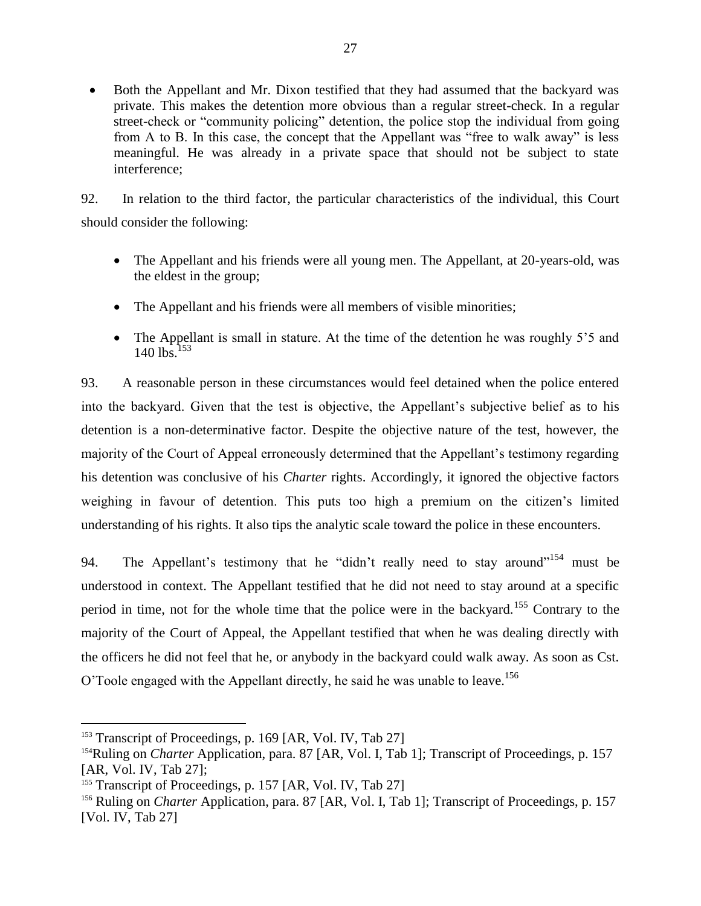• Both the Appellant and Mr. Dixon testified that they had assumed that the backyard was private. This makes the detention more obvious than a regular street-check. In a regular street-check or "community policing" detention, the police stop the individual from going from A to B. In this case, the concept that the Appellant was "free to walk away" is less meaningful. He was already in a private space that should not be subject to state interference;

92. In relation to the third factor, the particular characteristics of the individual, this Court should consider the following:

- The Appellant and his friends were all young men. The Appellant, at 20-years-old, was the eldest in the group;
- The Appellant and his friends were all members of visible minorities;
- The Appellant is small in stature. At the time of the detention he was roughly 5'5 and  $140$  lbs.<sup>153</sup>

93. A reasonable person in these circumstances would feel detained when the police entered into the backyard. Given that the test is objective, the Appellant's subjective belief as to his detention is a non-determinative factor. Despite the objective nature of the test, however, the majority of the Court of Appeal erroneously determined that the Appellant's testimony regarding his detention was conclusive of his *Charter* rights. Accordingly, it ignored the objective factors weighing in favour of detention. This puts too high a premium on the citizen's limited understanding of his rights. It also tips the analytic scale toward the police in these encounters.

94. The Appellant's testimony that he "didn't really need to stay around"<sup>154</sup> must be understood in context. The Appellant testified that he did not need to stay around at a specific period in time, not for the whole time that the police were in the backyard.<sup>155</sup> Contrary to the majority of the Court of Appeal, the Appellant testified that when he was dealing directly with the officers he did not feel that he, or anybody in the backyard could walk away. As soon as Cst. O'Toole engaged with the Appellant directly, he said he was unable to leave.<sup>156</sup>

<sup>&</sup>lt;sup>153</sup> Transcript of Proceedings, p. 169 [AR, Vol. IV, Tab 27]

<sup>&</sup>lt;sup>154</sup>Ruling on *Charter* Application, para. 87 [AR, Vol. I, Tab 1]; Transcript of Proceedings, p. 157 [AR, Vol. IV, Tab 27];

<sup>&</sup>lt;sup>155</sup> Transcript of Proceedings, p. 157 [AR, Vol. IV, Tab 27]

<sup>&</sup>lt;sup>156</sup> Ruling on *Charter* Application, para. 87 [AR, Vol. I, Tab 1]; Transcript of Proceedings, p. 157 [Vol. IV, Tab 27]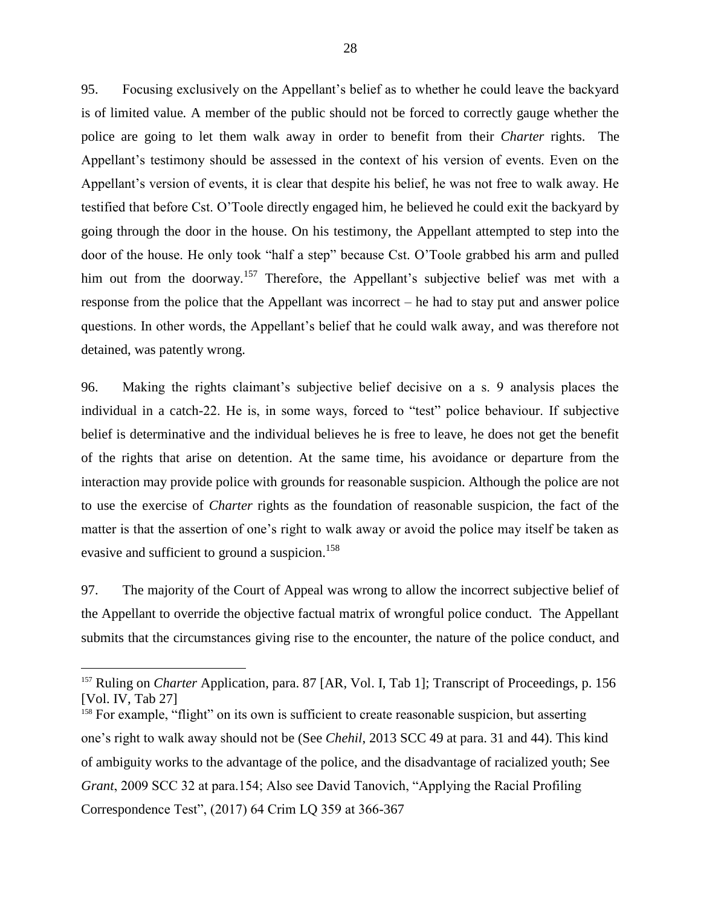95. Focusing exclusively on the Appellant's belief as to whether he could leave the backyard is of limited value*.* A member of the public should not be forced to correctly gauge whether the police are going to let them walk away in order to benefit from their *Charter* rights. The Appellant's testimony should be assessed in the context of his version of events. Even on the Appellant's version of events, it is clear that despite his belief, he was not free to walk away. He testified that before Cst. O'Toole directly engaged him, he believed he could exit the backyard by going through the door in the house. On his testimony, the Appellant attempted to step into the door of the house. He only took "half a step" because Cst. O'Toole grabbed his arm and pulled him out from the doorway.<sup>157</sup> Therefore, the Appellant's subjective belief was met with a response from the police that the Appellant was incorrect – he had to stay put and answer police questions. In other words, the Appellant's belief that he could walk away, and was therefore not detained, was patently wrong.

96. Making the rights claimant's subjective belief decisive on a s. 9 analysis places the individual in a catch-22. He is, in some ways, forced to "test" police behaviour. If subjective belief is determinative and the individual believes he is free to leave, he does not get the benefit of the rights that arise on detention. At the same time, his avoidance or departure from the interaction may provide police with grounds for reasonable suspicion. Although the police are not to use the exercise of *Charter* rights as the foundation of reasonable suspicion, the fact of the matter is that the assertion of one's right to walk away or avoid the police may itself be taken as evasive and sufficient to ground a suspicion.<sup>158</sup>

97. The majority of the Court of Appeal was wrong to allow the incorrect subjective belief of the Appellant to override the objective factual matrix of wrongful police conduct. The Appellant submits that the circumstances giving rise to the encounter, the nature of the police conduct, and

<sup>&</sup>lt;sup>157</sup> Ruling on *Charter* Application, para. 87 [AR, Vol. I, Tab 1]; Transcript of Proceedings, p. 156 [Vol. IV, Tab 27]

<sup>&</sup>lt;sup>158</sup> For example, "flight" on its own is sufficient to create reasonable suspicion, but asserting one's right to walk away should not be (See *Chehil*, 2013 SCC 49 at para. 31 and 44). This kind of ambiguity works to the advantage of the police, and the disadvantage of racialized youth; See *Grant*, 2009 SCC 32 at para.154; Also see David Tanovich, "Applying the Racial Profiling Correspondence Test", (2017) 64 Crim LQ 359 at 366-367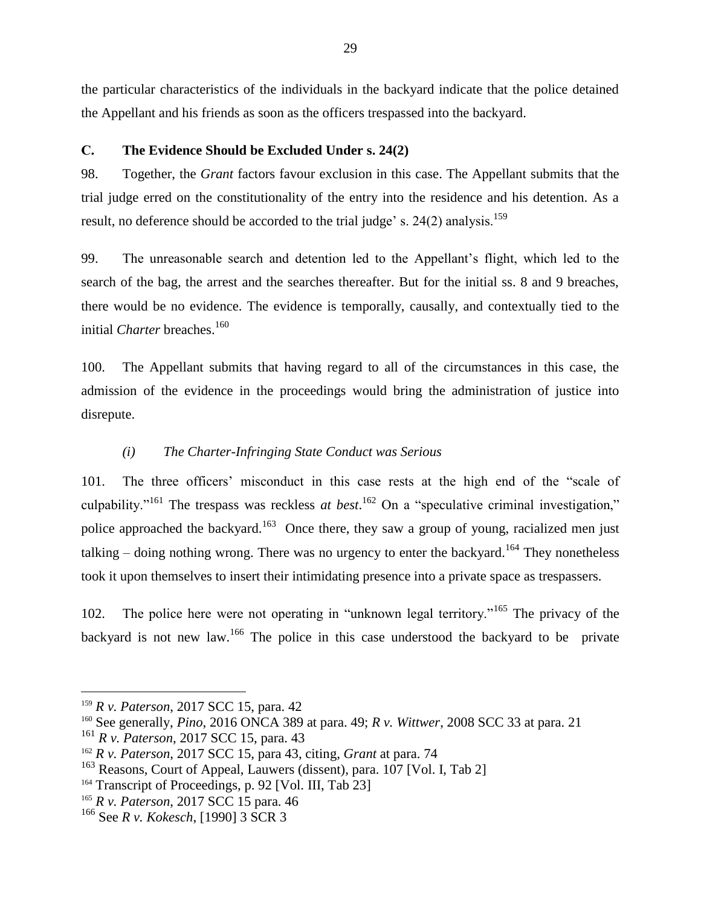the particular characteristics of the individuals in the backyard indicate that the police detained the Appellant and his friends as soon as the officers trespassed into the backyard.

## **C. The Evidence Should be Excluded Under s. 24(2)**

98. Together, the *Grant* factors favour exclusion in this case. The Appellant submits that the trial judge erred on the constitutionality of the entry into the residence and his detention. As a result, no deference should be accorded to the trial judge' s. 24(2) analysis.<sup>159</sup>

99. The unreasonable search and detention led to the Appellant's flight, which led to the search of the bag, the arrest and the searches thereafter. But for the initial ss. 8 and 9 breaches, there would be no evidence. The evidence is temporally, causally, and contextually tied to the initial *Charter* breaches.<sup>160</sup>

100. The Appellant submits that having regard to all of the circumstances in this case, the admission of the evidence in the proceedings would bring the administration of justice into disrepute.

# *(i) The Charter-Infringing State Conduct was Serious*

101. The three officers' misconduct in this case rests at the high end of the "scale of culpability."<sup>161</sup> The trespass was reckless *at best*.<sup>162</sup> On a "speculative criminal investigation," police approached the backyard.<sup>163</sup> Once there, they saw a group of young, racialized men just talking – doing nothing wrong. There was no urgency to enter the backyard.<sup>164</sup> They nonetheless took it upon themselves to insert their intimidating presence into a private space as trespassers.

102. The police here were not operating in "unknown legal territory."<sup>165</sup> The privacy of the backyard is not new law.<sup>166</sup> The police in this case understood the backyard to be private

<sup>159</sup> *R v. Paterson*, 2017 SCC 15, para. 42

<sup>160</sup> See generally, *Pino*, 2016 ONCA 389 at para. 49; *R v. Wittwer*, 2008 SCC 33 at para. 21

<sup>161</sup> *R v. Paterson*, 2017 SCC 15, para. 43

<sup>162</sup> *R v. Paterson*, 2017 SCC 15, para 43, citing, *Grant* at para. 74

 $163$  Reasons, Court of Appeal, Lauwers (dissent), para. 107 [Vol. I, Tab 2]

<sup>&</sup>lt;sup>164</sup> Transcript of Proceedings, p. 92 [Vol. III, Tab 23]

<sup>165</sup> *R v. Paterson*, 2017 SCC 15 para. 46

<sup>166</sup> See *R v. Kokesch*, [1990] 3 SCR 3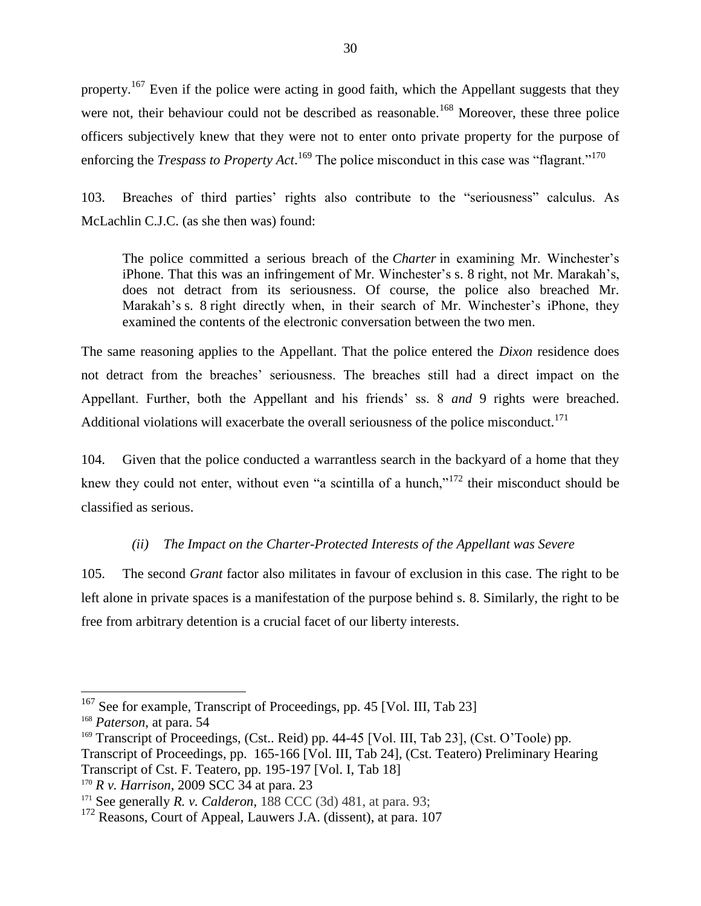property.<sup>167</sup> Even if the police were acting in good faith, which the Appellant suggests that they were not, their behaviour could not be described as reasonable.<sup>168</sup> Moreover, these three police officers subjectively knew that they were not to enter onto private property for the purpose of enforcing the *Trespass to Property Act*.<sup>169</sup> The police misconduct in this case was "flagrant."<sup>170</sup>

103. Breaches of third parties' rights also contribute to the "seriousness" calculus. As McLachlin C.J.C. (as she then was) found:

The police committed a serious breach of the *[Charter](https://www.canlii.org/en/ca/laws/stat/schedule-b-to-the-canada-act-1982-uk-1982-c-11/latest/schedule-b-to-the-canada-act-1982-uk-1982-c-11.html)* in examining Mr. Winchester's iPhone. That this was an infringement of Mr. Winchester's [s. 8](https://www.canlii.org/en/ca/laws/stat/schedule-b-to-the-canada-act-1982-uk-1982-c-11/latest/schedule-b-to-the-canada-act-1982-uk-1982-c-11.html#sec8_smooth) right, not Mr. Marakah's, does not detract from its seriousness. Of course, the police also breached Mr. Marakah's [s. 8](https://www.canlii.org/en/ca/laws/stat/schedule-b-to-the-canada-act-1982-uk-1982-c-11/latest/schedule-b-to-the-canada-act-1982-uk-1982-c-11.html#sec8_smooth) right directly when, in their search of Mr. Winchester's iPhone, they examined the contents of the electronic conversation between the two men.

The same reasoning applies to the Appellant. That the police entered the *Dixon* residence does not detract from the breaches' seriousness. The breaches still had a direct impact on the Appellant. Further, both the Appellant and his friends' ss. 8 *and* 9 rights were breached. Additional violations will exacerbate the overall seriousness of the police misconduct.<sup>171</sup>

104. Given that the police conducted a warrantless search in the backyard of a home that they knew they could not enter, without even "a scintilla of a hunch,"<sup>172</sup> their misconduct should be classified as serious.

# *(ii) The Impact on the Charter-Protected Interests of the Appellant was Severe*

105. The second *Grant* factor also militates in favour of exclusion in this case. The right to be left alone in private spaces is a manifestation of the purpose behind s. 8. Similarly, the right to be free from arbitrary detention is a crucial facet of our liberty interests.

 $167$  See for example, Transcript of Proceedings, pp. 45 [Vol. III, Tab 23]

<sup>168</sup> *Paterson*, at para. 54

<sup>&</sup>lt;sup>169</sup> Transcript of Proceedings, (Cst.. Reid) pp. 44-45 [Vol. III, Tab 23], (Cst. O'Toole) pp. Transcript of Proceedings, pp. 165-166 [Vol. III, Tab 24], (Cst. Teatero) Preliminary Hearing Transcript of Cst. F. Teatero, pp. 195-197 [Vol. I, Tab 18]

<sup>170</sup> *R v. Harrison*, 2009 SCC 34 at para. 23

<sup>&</sup>lt;sup>171</sup> See generally *R. v. Calderon*, 188 CCC (3d) 481, at para. 93;

<sup>&</sup>lt;sup>172</sup> Reasons, Court of Appeal, Lauwers J.A. (dissent), at para. 107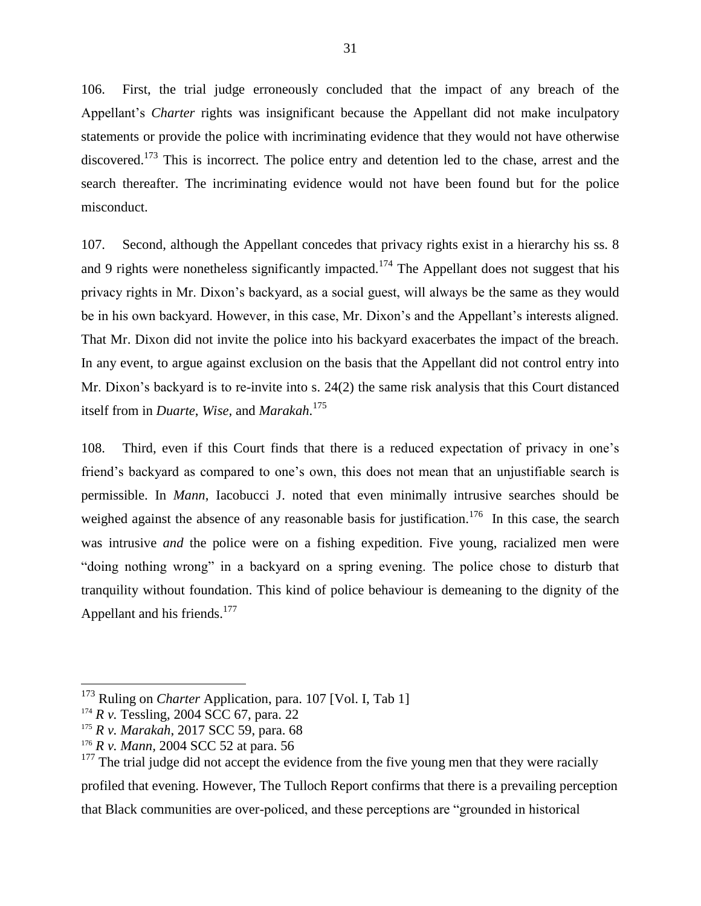106. First, the trial judge erroneously concluded that the impact of any breach of the Appellant's *Charter* rights was insignificant because the Appellant did not make inculpatory statements or provide the police with incriminating evidence that they would not have otherwise discovered.<sup>173</sup> This is incorrect. The police entry and detention led to the chase, arrest and the search thereafter. The incriminating evidence would not have been found but for the police misconduct.

107. Second, although the Appellant concedes that privacy rights exist in a hierarchy his ss. 8 and 9 rights were nonetheless significantly impacted.<sup>174</sup> The Appellant does not suggest that his privacy rights in Mr. Dixon's backyard, as a social guest, will always be the same as they would be in his own backyard. However, in this case, Mr. Dixon's and the Appellant's interests aligned. That Mr. Dixon did not invite the police into his backyard exacerbates the impact of the breach. In any event, to argue against exclusion on the basis that the Appellant did not control entry into Mr. Dixon's backyard is to re-invite into s. 24(2) the same risk analysis that this Court distanced itself from in *Duarte*, *Wise,* and *Marakah*. 175

108. Third, even if this Court finds that there is a reduced expectation of privacy in one's friend's backyard as compared to one's own, this does not mean that an unjustifiable search is permissible. In *Mann*, Iacobucci J. noted that even minimally intrusive searches should be weighed against the absence of any reasonable basis for justification.<sup>176</sup> In this case, the search was intrusive *and* the police were on a fishing expedition. Five young, racialized men were "doing nothing wrong" in a backyard on a spring evening. The police chose to disturb that tranquility without foundation. This kind of police behaviour is demeaning to the dignity of the Appellant and his friends.<sup>177</sup>

<sup>&</sup>lt;sup>173</sup> Ruling on *Charter* Application, para. 107 [Vol. I, Tab 1]

<sup>&</sup>lt;sup>174</sup> *R v.* Tessling, 2004 SCC 67, para. 22

<sup>175</sup> *R v. Marakah*, 2017 SCC 59, para. 68

<sup>176</sup> *R v. Mann,* 2004 SCC 52 at para. 56

 $177$  The trial judge did not accept the evidence from the five young men that they were racially profiled that evening. However, The Tulloch Report confirms that there is a prevailing perception that Black communities are over-policed, and these perceptions are "grounded in historical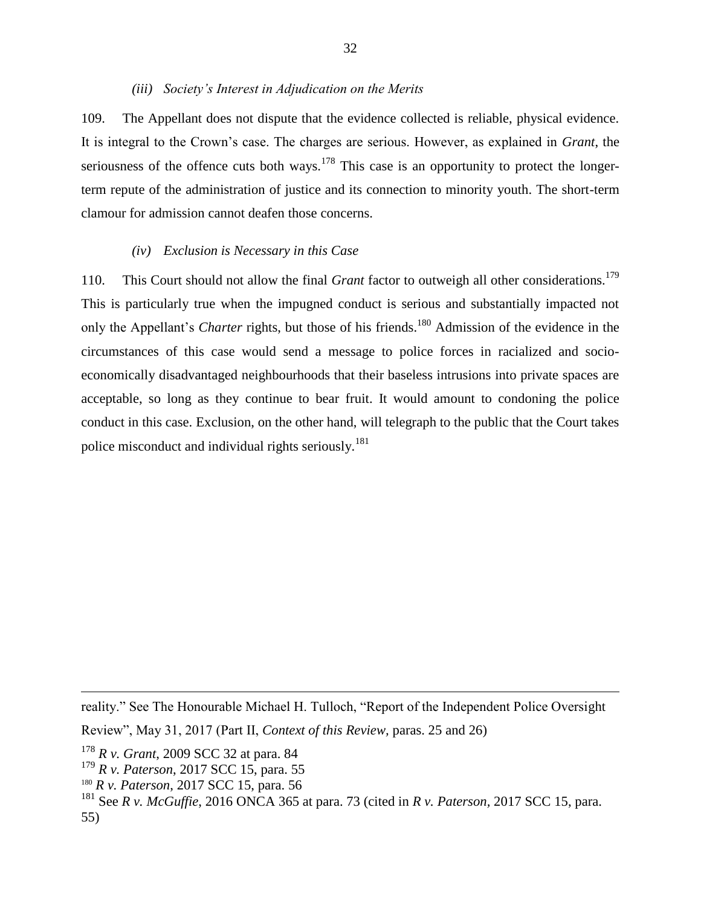#### *(iii) Society's Interest in Adjudication on the Merits*

109. The Appellant does not dispute that the evidence collected is reliable, physical evidence. It is integral to the Crown's case. The charges are serious. However, as explained in *Grant*, the seriousness of the offence cuts both ways.<sup>178</sup> This case is an opportunity to protect the longerterm repute of the administration of justice and its connection to minority youth. The short-term clamour for admission cannot deafen those concerns.

#### *(iv) Exclusion is Necessary in this Case*

110. This Court should not allow the final *Grant* factor to outweigh all other considerations.<sup>179</sup> This is particularly true when the impugned conduct is serious and substantially impacted not only the Appellant's *Charter* rights, but those of his friends.<sup>180</sup> Admission of the evidence in the circumstances of this case would send a message to police forces in racialized and socioeconomically disadvantaged neighbourhoods that their baseless intrusions into private spaces are acceptable, so long as they continue to bear fruit. It would amount to condoning the police conduct in this case. Exclusion, on the other hand, will telegraph to the public that the Court takes police misconduct and individual rights seriously.<sup>181</sup>

reality." See The Honourable Michael H. Tulloch, "Report of the Independent Police Oversight

 $\overline{a}$ 

55)

<sup>181</sup> See *R v. McGuffie*, 2016 ONCA 365 at para. 73 (cited in *R v. Paterson,* 2017 SCC 15, para.

Review", May 31, 2017 (Part II, *Context of this Review,* paras. 25 and 26)

<sup>178</sup> *R v. Grant*, 2009 SCC 32 at para. 84

<sup>179</sup> *R v. Paterson*, 2017 SCC 15, para. 55

<sup>180</sup> *R v. Paterson*, 2017 SCC 15, para. 56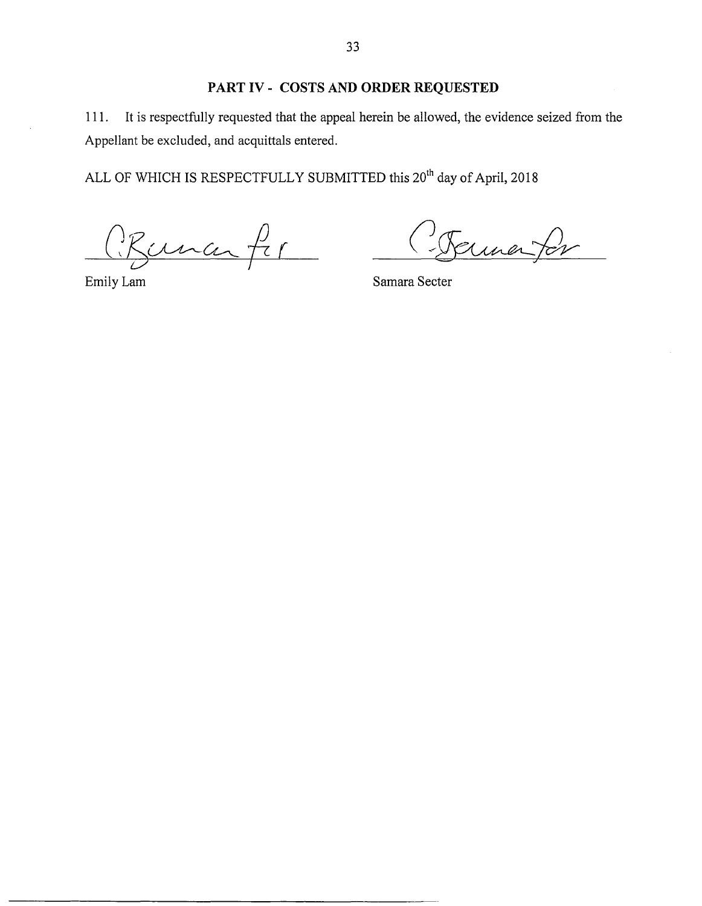# **PART** IV- **COSTS AND ORDER REQUESTED**

111. It is respectfully requested that the appeal herein be allowed, the evidence seized from the Appellant be excluded, and acquittals entered.

ALL OF WHICH IS RESPECTFULLY SUBMITTED this 20<sup>th</sup> day of April, 2018

Buna fir

ermenter

Emily Lam Samara Secter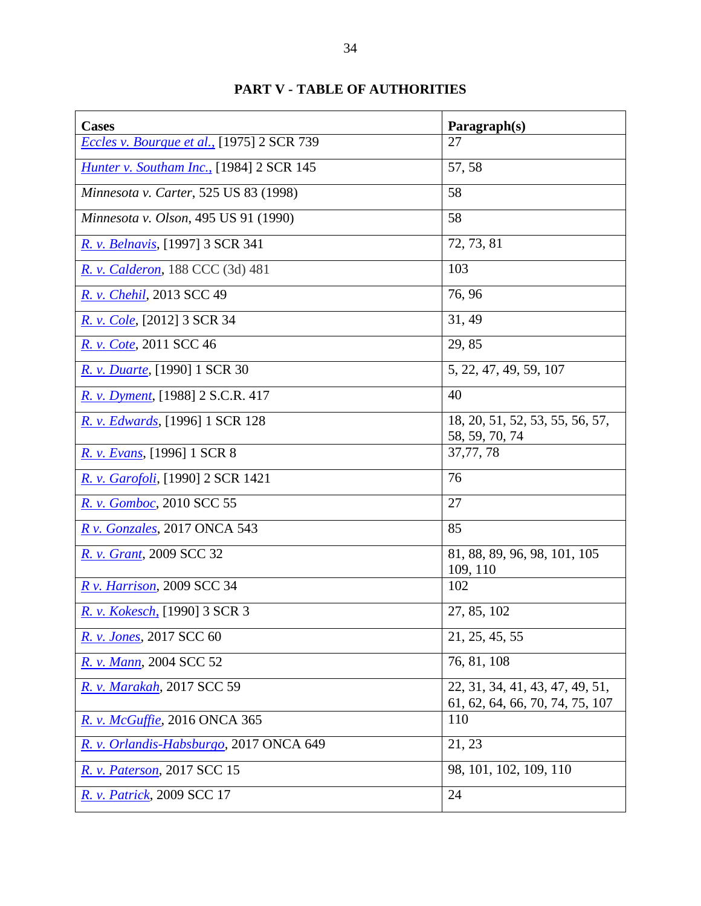# **PART V - TABLE OF AUTHORITIES**

| <b>Cases</b>                                    | Paragraph(s)                                                       |
|-------------------------------------------------|--------------------------------------------------------------------|
| Eccles v. Bourque et al., [1975] 2 SCR 739      | 27                                                                 |
| <b>Hunter v. Southam Inc., [1984] 2 SCR 145</b> | 57, 58                                                             |
| <i>Minnesota v. Carter</i> , 525 US 83 (1998)   | 58                                                                 |
| Minnesota v. Olson, 495 US 91 (1990)            | 58                                                                 |
| R. v. Belnavis, [1997] 3 SCR 341                | 72, 73, 81                                                         |
| R. v. Calderon, 188 CCC (3d) 481                | 103                                                                |
| <i>R. v. Chehil, 2013 SCC 49</i>                | 76, 96                                                             |
| <i>R. v. Cole</i> , [2012] 3 SCR 34             | 31, 49                                                             |
| R. v. Cote, 2011 SCC 46                         | 29,85                                                              |
| R. v. Duarte, [1990] 1 SCR 30                   | 5, 22, 47, 49, 59, 107                                             |
| R. v. Dyment, [1988] 2 S.C.R. 417               | 40                                                                 |
| R. v. Edwards, [1996] 1 SCR 128                 | 18, 20, 51, 52, 53, 55, 56, 57,<br>58, 59, 70, 74                  |
| <i>R. v. Evans</i> , [1996] 1 SCR 8             | 37,77,78                                                           |
| <i>R. v. Garofoli</i> , [1990] 2 SCR 1421       | 76                                                                 |
| R. v. Gomboc, 2010 SCC 55                       | 27                                                                 |
| R v. Gonzales, 2017 ONCA 543                    | 85                                                                 |
| R. v. Grant, 2009 SCC 32                        | 81, 88, 89, 96, 98, 101, 105<br>109, 110                           |
| R v. Harrison, 2009 SCC 34                      | 102                                                                |
| R. v. Kokesch, [1990] 3 SCR 3                   | 27, 85, 102                                                        |
| R. v. Jones, 2017 SCC 60                        | 21, 25, 45, 55                                                     |
| R. v. Mann, 2004 SCC 52                         | 76, 81, 108                                                        |
| R. v. Marakah, 2017 SCC 59                      | 22, 31, 34, 41, 43, 47, 49, 51,<br>61, 62, 64, 66, 70, 74, 75, 107 |
| R. v. McGuffie, 2016 ONCA 365                   | 110                                                                |
| R. v. Orlandis-Habsburgo, 2017 ONCA 649         | 21, 23                                                             |
| <i>R. v. Paterson</i> , 2017 SCC 15             | 98, 101, 102, 109, 110                                             |
| <i>R. v. Patrick</i> , 2009 SCC 17              | 24                                                                 |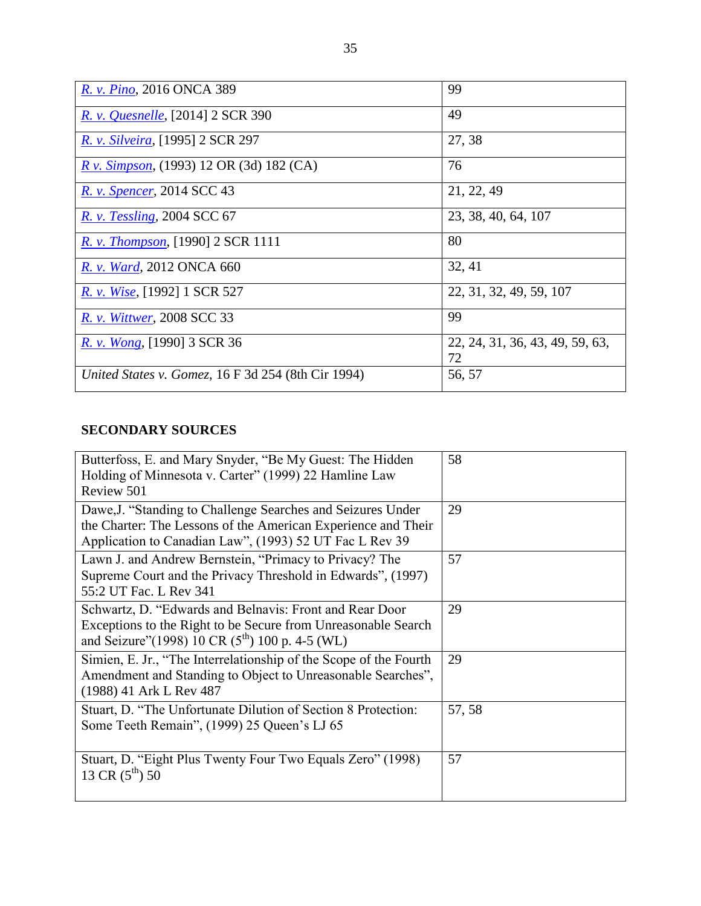| R. v. Pino, 2016 ONCA 389                                 | 99                                    |
|-----------------------------------------------------------|---------------------------------------|
| <i>R. v. Quesnelle</i> , [2014] 2 SCR 390                 | 49                                    |
| R. v. Silveira, [1995] 2 SCR 297                          | 27, 38                                |
| <i>R v. Simpson,</i> (1993) 12 OR (3d) 182 (CA)           | 76                                    |
| R. v. Spencer, 2014 SCC 43                                | 21, 22, 49                            |
| <b>R.</b> v. Tessling, 2004 SCC 67                        | 23, 38, 40, 64, 107                   |
| R. v. Thompson, [1990] 2 SCR 1111                         | 80                                    |
| R. v. Ward, 2012 ONCA 660                                 | 32, 41                                |
| R. v. Wise, [1992] 1 SCR 527                              | 22, 31, 32, 49, 59, 107               |
| R. v. Wittwer, 2008 SCC 33                                | 99                                    |
| R. v. Wong, [1990] 3 SCR 36                               | 22, 24, 31, 36, 43, 49, 59, 63,<br>72 |
| <i>United States v. Gomez, 16 F 3d 254 (8th Cir 1994)</i> | 56, 57                                |

# **SECONDARY SOURCES**

| Butterfoss, E. and Mary Snyder, "Be My Guest: The Hidden<br>Holding of Minnesota v. Carter" (1999) 22 Hamline Law<br>Review 501                                                          | 58     |
|------------------------------------------------------------------------------------------------------------------------------------------------------------------------------------------|--------|
| Dawe, J. "Standing to Challenge Searches and Seizures Under<br>the Charter: The Lessons of the American Experience and Their<br>Application to Canadian Law", (1993) 52 UT Fac L Rev 39  | 29     |
| Lawn J. and Andrew Bernstein, "Primacy to Privacy? The<br>Supreme Court and the Privacy Threshold in Edwards", (1997)<br>55:2 UT Fac. L Rev 341                                          | 57     |
| Schwartz, D. "Edwards and Belnavis: Front and Rear Door<br>Exceptions to the Right to be Secure from Unreasonable Search<br>and Seizure" (1998) 10 CR (5 <sup>th</sup> ) 100 p. 4-5 (WL) | 29     |
| Simien, E. Jr., "The Interrelationship of the Scope of the Fourth<br>Amendment and Standing to Object to Unreasonable Searches",<br>(1988) 41 Ark L Rev 487                              | 29     |
| Stuart, D. "The Unfortunate Dilution of Section 8 Protection:<br>Some Teeth Remain", (1999) 25 Queen's LJ 65                                                                             | 57, 58 |
| Stuart, D. "Eight Plus Twenty Four Two Equals Zero" (1998)<br>13 CR $(5^{th})$ 50                                                                                                        | 57     |